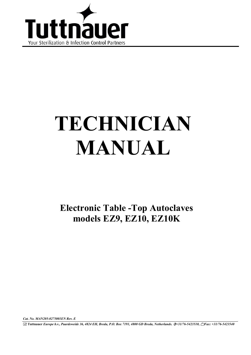

# **TECHNICIAN MANUAL**

**Electronic Table -Top Autoclaves models EZ9, EZ10, EZ10K** 

*Cat. No. MAN205-0275001EN Rev. E* 

**Tuttnauer** *Europe b.v., Paardeweide 36, 4824 EH, Breda, P.O. Box 7191, 4800 GD Breda, Netherlands. +31/76-5423510, Fax: +31/76-5423540*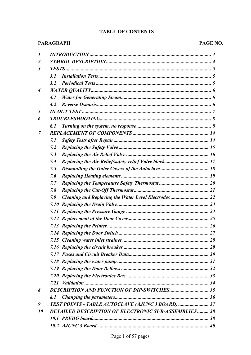# **TABLE OF CONTENTS**

#### **PARAGRAPH**

#### PAGE NO.

| 1                |                                                              |
|------------------|--------------------------------------------------------------|
| $\overline{2}$   |                                                              |
| $\mathfrak{z}$   |                                                              |
|                  | 3.1                                                          |
|                  | 3.2                                                          |
| $\boldsymbol{4}$ |                                                              |
|                  | 4.1                                                          |
|                  | 4.2                                                          |
| 5                |                                                              |
| 6                |                                                              |
|                  | 6. 1                                                         |
| 7                |                                                              |
|                  | 7.1                                                          |
|                  | 7.2                                                          |
|                  | 7.3                                                          |
|                  | 7.4                                                          |
|                  | 7.5                                                          |
|                  | 7.6                                                          |
|                  | 7.7                                                          |
|                  | 7.8                                                          |
|                  | Cleaning and Replacing the Water Level Electrodes  22<br>7.9 |
|                  |                                                              |
|                  |                                                              |
|                  |                                                              |
|                  |                                                              |
|                  |                                                              |
|                  |                                                              |
|                  |                                                              |
|                  |                                                              |
|                  |                                                              |
|                  |                                                              |
|                  |                                                              |
|                  |                                                              |
| 8                |                                                              |
|                  | 8.1                                                          |
| 9                | TEST POINTS - TABLE AUTOCLAVE (AJUNC 3 BOARD)  37            |
| 10               | <b>DETAILED DESCRIPTION OF ELECTRONIC SUB-ASSEMBLIES 38</b>  |
|                  |                                                              |
|                  |                                                              |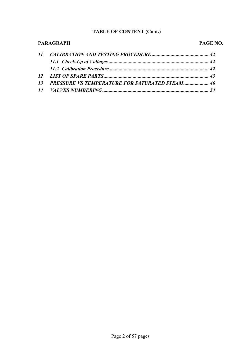#### **TABLE OF CONTENT (Cont.)**

# **PARAGRAPH PAGE NO.** *11 CALIBRATION AND TESTING PROCEDURE ............................................. 42 11.1 Check-Up of Voltages ............................................................................... 42 11.2 Calibration Procedure............................................................................... 42 12 LIST OF SPARE PARTS................................................................................... 43 13 PRESSURE VS TEMPERATURE FOR SATURATED STEAM.................... 46 14 VALVES NUMBERING .................................................................................... 54*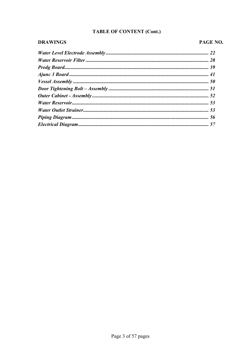# TABLE OF CONTENT (Cont.)

#### **DRAWINGS**

# PAGE NO.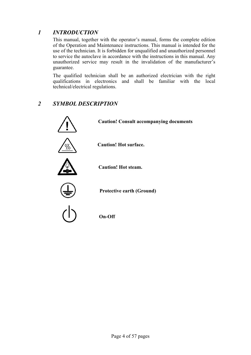# *1 INTRODUCTION*

 This manual, together with the operator's manual, forms the complete edition of the Operation and Maintenance instructions. This manual is intended for the use of the technician. It is forbidden for unqualified and unauthorized personnel to service the autoclave in accordance with the instructions in this manual. Any unauthorized service may result in the invalidation of the manufacturer's guarantee.

 The qualified technician shall be an authorized electrician with the right qualifications in electronics and shall be familiar with the local technical/electrical regulations.

# *2 SYMBOL DESCRIPTION*

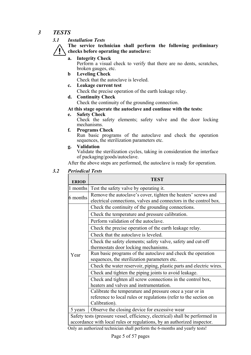#### *3 TESTS*

#### *3.1 Installation Tests*

 **The service technician shall perform the following preliminary checks before operating the autoclave:** 

**a. Integrity Check** 

Perform a visual check to verify that there are no dents, scratches, broken gauges, etc.

- **b Leveling Check**
- Check that the autoclave is leveled.
- **c. Leakage current test** 
	- Check the precise operation of the earth leakage relay.
- **d. Continuity Check**

Check the continuity of the grounding connection.

#### **At this stage operate the autoclave and continue with the tests:**

**e. Safety Check** 

 Check the safety elements; safety valve and the door locking mechanisms.

**f. Programs Check** 

 Run basic programs of the autoclave and check the operation sequences, the sterilization parameters etc.

- **g. Validation** 
	- Validate the sterilization cycles, taking in consideration the interface of packaging/goods/autoclave.

After the above steps are performed, the autoclave is ready for operation.

*3.2 Periodical Tests* 

| <b>ERIOD</b>                                                               | TEST                                                                         |  |  |  |  |
|----------------------------------------------------------------------------|------------------------------------------------------------------------------|--|--|--|--|
| 1 months                                                                   | Test the safety valve by operating it.                                       |  |  |  |  |
| 6 months                                                                   | Remove the autoclave's cover, tighten the heaters' screws and                |  |  |  |  |
|                                                                            | electrical connections, valves and connectors in the control box.            |  |  |  |  |
|                                                                            | Check the continuity of the grounding connections.                           |  |  |  |  |
|                                                                            | Check the temperature and pressure calibration.                              |  |  |  |  |
|                                                                            | Perform validation of the autoclave.                                         |  |  |  |  |
|                                                                            | Check the precise operation of the earth leakage relay.                      |  |  |  |  |
|                                                                            | Check that the autoclave is leveled.                                         |  |  |  |  |
|                                                                            | Check the safety elements; safety valve, safety and cut-off                  |  |  |  |  |
|                                                                            | thermostats door locking mechanisms.                                         |  |  |  |  |
| Year                                                                       | Run basic programs of the autoclave and check the operation                  |  |  |  |  |
|                                                                            | sequences, the sterilization parameters etc.                                 |  |  |  |  |
|                                                                            | Check the water reservoir, piping, plastic parts and electric wires.         |  |  |  |  |
|                                                                            | Check and tighten the piping joints to avoid leakage.                        |  |  |  |  |
|                                                                            | Check and tighten all screw connections in the control box,                  |  |  |  |  |
|                                                                            | heaters and valves and instrumentation.                                      |  |  |  |  |
|                                                                            | Calibrate the temperature and pressure once a year or in                     |  |  |  |  |
|                                                                            | reference to local rules or regulations (refer to the section on             |  |  |  |  |
|                                                                            | Calibration).                                                                |  |  |  |  |
| 5 years                                                                    | Observe the closing device for excessive wear                                |  |  |  |  |
|                                                                            | Safety tests (pressure vessel, efficiency, electrical) shall be performed in |  |  |  |  |
| accordance with local rules or regulations, by an authorized inspector.    |                                                                              |  |  |  |  |
| Only an authorized technician shall perform the 6-months and yearly tests! |                                                                              |  |  |  |  |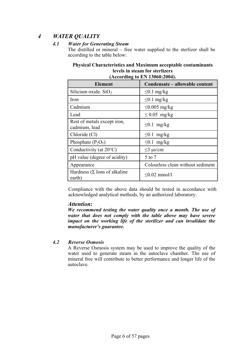# *4 WATER QUALITY*

#### *4.1 Water for Generating Steam*

 The distilled or mineral – free water supplied to the sterlizer shall be according to the table below:

#### **Physical Characteristics and Maximum acceptable contaminants levels in steam for sterlizers (According to EN 13060:2004).**

| ACCORDING TO ETT TO THE SUPER                  |                                   |  |  |  |
|------------------------------------------------|-----------------------------------|--|--|--|
| <b>Element</b>                                 | Condensate – allowable content    |  |  |  |
| Silicium oxide. $SiO2$                         | $\leq 0.1$ mg/kg                  |  |  |  |
| Iron                                           | $\leq 0.1$ mg/kg                  |  |  |  |
| Cadmium                                        | $\leq$ 0.005 mg/kg                |  |  |  |
| Lead                                           | $\leq 0.05$ mg/kg                 |  |  |  |
| Rest of metals except iron,<br>cadmium, lead   | $\leq 0.1$ mg/kg                  |  |  |  |
| Chloride (Cl)                                  | $\leq 0.1$ mg/kg                  |  |  |  |
| Phosphate $(P_2O_5)$                           | $\leq 0.1$ mg/kg                  |  |  |  |
| Conductivity (at $20^{\circ}$ C)               | $\leq$ 3 µs/cm                    |  |  |  |
| pH value (degree of acidity)                   | 5 to 7                            |  |  |  |
| Appearance                                     | Colourless clean without sediment |  |  |  |
| Hardness ( $\Sigma$ Ions of alkaline<br>earth) | $\leq 0.02$ mmol/l                |  |  |  |

Compliance with the above data should be tested in accordance with acknowledged analytical methods, by an authorized laboratory.

#### *Attention:*

 *We recommend testing the water quality once a month. The use of water that does not comply with the table above may have severe impact on the working life of the sterilizer and can invalidate the manufacturer's guarantee.* 

#### *4.2 Reverse Osmosis*

 A Reverse Osmosis system may be used to improve the quality of the water used to generate steam in the autoclave chamber. The use of mineral free will contribute to better performance and longer life of the autoclave.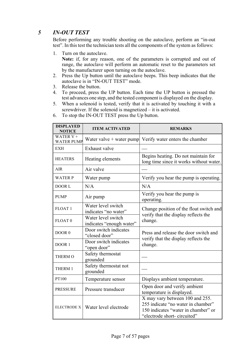# *5 IN-OUT TEST*

 Before performing any trouble shooting on the autoclave, perform an "in-out test". In this test the technician tests all the components of the system as follows:

1. Turn on the autoclave.

**Note:** if, for any reason, one of the parameters is corrupted and out of range, the autoclave will perform an automatic reset to the parameters set by the manufacturer upon turning on the autoclave.

- 2. Press the Up button until the autoclave beeps. This beep indicates that the autoclave is in "IN-OUT TEST" mode.
- 3. Release the button.
- 4. To proceed, press the UP button. Each time the UP button is pressed the test advances one step, and the tested component is displayed on the display.
- 5. When a solenoid is tested, verify that it is activated by touching it with a screwdriver. If the solenoid is magnetized – it is activated.
- 6. To stop the IN-OUT TEST press the Up button.

| <b>DISPLAYED</b><br><b>NOTICE</b> | <b>ITEM ACTIVATED</b>                          | <b>REMARKS</b>                                                                                                                              |
|-----------------------------------|------------------------------------------------|---------------------------------------------------------------------------------------------------------------------------------------------|
| WATER $V +$<br><b>WATER PUMP</b>  | Water valve $+$ water pump                     | Verify water enters the chamber                                                                                                             |
| EXH                               | Exhaust valve                                  |                                                                                                                                             |
| <b>HEATERS</b>                    | Heating elements                               | Begins heating. Do not maintain for<br>long time since it works without water.                                                              |
| <b>AIR</b>                        | Air valve                                      |                                                                                                                                             |
| <b>WATER P</b>                    | Water pump                                     | Verify you hear the pump is operating.                                                                                                      |
| DOOR L                            | N/A                                            | N/A                                                                                                                                         |
| <b>PUMP</b>                       | Air pump                                       | Verify you hear the pump is<br>operating.                                                                                                   |
| FLOAT <sub>1</sub>                | Water level switch<br>indicates "no water"     | Change position of the float switch and<br>verify that the display reflects the                                                             |
| FLOAT <sub>0</sub>                | Water level switch<br>indicates "enough water" | change.                                                                                                                                     |
| DOOR <sub>0</sub>                 | Door switch indicates<br>"closed door"         | Press and release the door switch and<br>verify that the display reflects the                                                               |
| DOOR 1                            | Door switch indicates<br>"open door"           | change.                                                                                                                                     |
| <b>THERM O</b>                    | Safety thermostat<br>grounded                  |                                                                                                                                             |
| THERM 1                           | Safety thermostat not<br>grounded              |                                                                                                                                             |
| PT100                             | Temperature sensor                             | Displays ambient temperature.                                                                                                               |
| <b>PRESSURE</b>                   | Pressure transducer                            | Open door and verify ambient<br>temperature is displayed.                                                                                   |
| <b>ELECTRODE X</b>                | Water level electrode                          | X may vary between 100 and 255.<br>255 indicate "no water in chamber"<br>150 indicates "water in chamber" or<br>"electrode short-circuited" |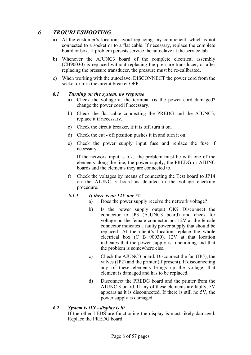# *6 TROUBLESHOOTING*

- a) At the customer's location, avoid replacing any component, which is not connected to a socket or to a flat cable. If necessary, replace the complete board or box. If problem persists service the autoclave at the service lab.
- b) Whenever the AJUNC3 board of the complete electrical assembly (CB90030) is replaced without replacing the pressure transducer, or after replacing the pressure transducer, the pressure must be re-calibrated.
- c) When working with the autoclave, DISCONNECT the power cord from the socket or turn the circuit breaker OFF.

#### *6.1 Turning on the system, no response*

- a) Check the voltage at the terminal (is the power cord damaged? change the power cord if necessary.
- b) Check the flat cable connecting the PREDG and the AJUNC3, replace it if necessary.
- c) Check the circuit breaker, if it is off, turn it on.
- d) Check the cut off position pushes it in and turn it on.
- e) Check the power supply input fuse and replace the fuse if necessary.

 If the network input is o.k., the problem must be with one of the elements along the line, the power supply, the PREDG or AJUNC boards and the elements they are connected to.

f) Check the voltages by means of connecting the Test board to JP14 on the AJUNC 3 board as detailed in the voltage checking procedure.

#### *6.1.1 If there is no 12V nor 5V*

- a) Does the power supply receive the network voltage?
- b) Is the power supply output OK? Disconnect the connector to JP3 (AJUNC3 board) and check for voltage on the female connector no. 12V at the female connector indicates a faulty power supply that should be replaced. At the client's location replace the whole electrical box (C B 90030). 12V at that location indicates that the power supply is functioning and that the problem is somewhere else.
- c) Check the AJUNC3 board. Disconnect the fan (JP5), the valves (JP2) and the printer (if present). If disconnecting any of these elements brings up the voltage, that element is damaged and has to be replaced.
- d) Disconnect the PREDG board and the printer from the AJUNC 3 board. If any of these elements are faulty, 5V appears as it is disconnected. If there is still no 5V, the power supply is damaged.

#### *6.2 System is ON - display is lit*

 If the other LEDS are functioning the display is most likely damaged. Replace the PREDG board.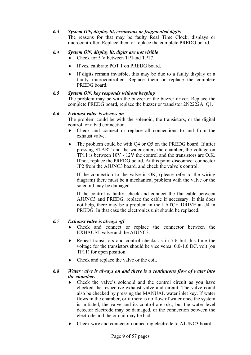#### *6.3 System ON, display lit, erroneous or fragmented digits*

 The reasons for that may be faulty Real Time Clock, displays or microcontroller. Replace them or replace the complete PREDG board.

#### *6.4 System ON, display lit, digits are not visible*

- ♦ Check for 5 V between TP1and TP17
- ♦ If yes, calibrate POT 1 on PREDG board.
- ♦ If digits remain invisible, this may be due to a faulty display or a faulty microcontroller. Replace them or replace the complete PREDG board.

#### *6.5 System ON, key responds without beeping*

 The problem may be with the buzzer or the buzzer driver. Replace the complete PREDG board, replace the buzzer or transistor 2N2222A, Q1.

#### *6.6 Exhaust valve is always on*

 The problem could be with the solenoid, the transistors, or the digital control, or a bad connection.

- ♦ Check and connect or replace all connections to and from the exhaust valve.
- ♦ The problem could be with Q4 or Q5 on the PREDG board. If after pressing START and the water enters the chamber, the voltage on TP11 is between 10V - 12V the control and the transistors are O.K. If not, replace the PREDG board. At this point disconnect connector JP2 from the AJUNC3 board, and check the valve's control.

 If the connection to the valve is OK, (please refer to the wiring diagram) there must be a mechanical problem with the valve or the solenoid may be damaged.

 If the control is faulty, check and connect the flat cable between AJUNC3 and PREDG, replace the cable if necessary. If this does not help, there may be a problem in the LATCH DRIVE at U4 in PREDG. In that case the electronics unit should be replaced.

#### *6.7 Exhaust valve is always off*

- ♦ Check and connect or replace the connector between the EXHAUST valve and the AJUNC3.
- ♦ Repeat transistors and control checks as in 7.6 but this time the voltage for the transistors should be vice versa: 0.0-1.0 DC. volt (on TP11) for open position.
- ♦ Check and replace the valve or the coil.

#### *6.8 Water valve is always on and there is a continuous flow of water into the chamber.*

- ♦ Check the valve's solenoid and the control circuit as you have checked the respective exhaust valve and circuit. The valve could also be checked by pressing the MANUAL water inlet key. If water flows in the chamber, or if there is no flow of water once the system is initiated, the valve and its control are o.k., but the water level detector electrode may be damaged, or the connection between the electrode and the circuit may be bad.
- ♦ Check wire and connector connecting electrode to AJUNC3 board.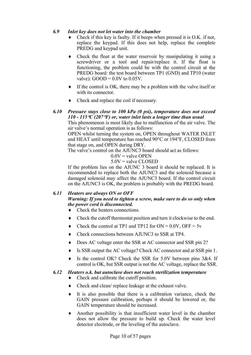#### *6.9 Inlet key does not let water into the chamber*

- Check if this key is faulty. If it beeps when pressed it is  $O.K.$  if not, replace the keypad. If this does not help, replace the complete PREDG and keypad unit.
- ♦ Check the float at the water reservoir by manipulating it using a screwdriver or a tool and repair/replace it. If the float is functioning, the problem could be with the control circuit at the PREDG board: the test board between TP1 (GND) and TP10 (water valve):  $GOOD = 0.0V$  to  $0.05V$ .
- ♦ If the control is OK, there may be a problem with the valve itself or with its connector.
- Check and replace the coil if necessary.

#### *6.10 Pressure stays close to 100 kPa (0 psi), temperature does not exceed 110 - 115*°*C (207*°*F) or, water inlet lasts a longer time than usual*

 This phenomenon is most likely due to malfunction of the air valve. The air valve's normal operation is as follows:

 OPEN whilst turning the system on, OPEN throughout WATER INLET and HEAT until temperature has reached 90°C or 194°F, CLOSED from that stage on, and OPEN during DRY.

The valve's control on the AJUNC3 board should act as follows:

 $0.0V$  = valve OPEN

5.0V = valve CLOSED

 If the problem lies on the AJUNC 3 board it should be replaced. It is recommended to replace both the AJUNC3 and the solenoid because a damaged solenoid may affect the AJUNC3 board. If the control circuit on the AJUNC3 is OK, the problem is probably with the PREDG board.

#### *6.11 Heaters are always ON or OFF Warning: If you need to tighten a screw, make sure to do so only when the power cord is disconnected.*

- ♦ Check the heaters connections.
- ♦ Check the cutoff thermostat position and turn it clockwise to the end.
- $\triangle$  Check the control at TP1 and TP12 for ON = 0.0V, OFF = 5v
- ♦ Check connections between AJUNC3 to SSR at TP4.
- Does AC voltage enter the SSR at AC connector and SSR pin 2?
- ♦ Is SSR output the AC voltage? Check AC connector and at SSR pin 1.
- ♦ Is the control OK? Check the SSR for 5.0V between pins 3&4. If control is OK, but SSR output is not the AC voltage, replace the SSR.

#### *6.12 Heaters o.k. but autoclave does not reach sterilization temperature*

- Check and calibrate the cutoff position.
- ♦ Check and clean/ replace leakage at the exhaust valve.
- ♦ It is also possible that there is a calibration variance, check the GAIN pressure calibration, perhaps it should be lowered or, the GAIN temperature should be increased.
- ♦ Another possibility is that insufficient water level in the chamber does not allow the pressure to build up. Check the water level detector electrode, or the leveling of the autoclave.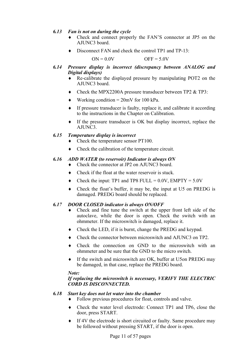#### *6.13 Fan is not on during the cycle*

- ♦ Check and connect properly the FAN'S connector at JP5 on the AJUNC3 board.
- Disconnect FAN and check the control TP1 and TP-13:

 $ON = 0.0V$  OFF = 5.0V

- *6.14 Pressure display is incorrect (discrepancy between ANALOG and Digital displays)* 
	- ♦ Re-calibrate the displayed pressure by manipulating POT2 on the AJUNC3 board.
	- ♦ Check the MPX2200A pressure transducer between TP2 & TP3:
	- Working condition =  $20mV$  for 100 kPa.
	- ♦ If pressure transducer is faulty, replace it, and calibrate it according to the instructions in the Chapter on Calibration.
	- ♦ If the pressure transducer is OK but display incorrect, replace the AJUNC3.

#### *6.15 Temperature display is incorrect*

- Check the temperature sensor PT100.
- ♦ Check the calibration of the temperature circuit.

#### *6.16 ADD WATER (to reservoir) Indicator is always ON*

- ♦ Check the connector at JP2 on AJUNC3 board.
- ♦ Check if the float at the water reservoir is stuck.
- $\triangle$  Check the input: TP1 and TP8 FULL = 0.0V, EMPTY = 5.0V
- ♦ Check the float's buffer, it may be, the input at U5 on PREDG is damaged. PREDG board should be replaced.

#### *6.17 DOOR CLOSED indicator is always ON/OFF*

- ♦ Check and fine tune the switch at the upper front left side of the autoclave, while the door is open. Check the switch with an ohmmeter. If the microswitch is damaged, replace it.
- ♦ Check the LED, if it is burnt, change the PREDG and keypad.
- Check the connector between microswitch and AJUNC3 on TP2.
- ♦ Check the connection on GND to the microswitch with an ohmmeter and be sure that the GND to the micro switch.
- ♦ If the switch and microswitch are OK, buffer at U5on PREDG may be damaged, in that case, replace the PREDG board.

#### *Note:*

#### *If replacing the microswitch is necessary, VERIFY THE ELECTRIC CORD IS DISCONNECTED.*

#### *6.18 Start key does not let water into the chamber*

- ♦ Follow previous procedures for float, controls and valve.
- ♦ Check the water level electrode: Connect TP1 and TP6, close the door, press START.
- ♦ If 4V the electrode is short circuited or faulty. Same procedure may be followed without pressing START, if the door is open.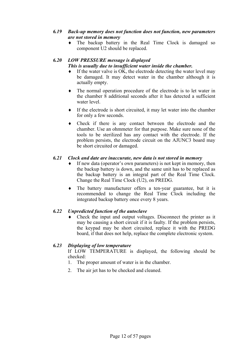#### *6.19 Back-up memory does not function does not function, new parameters are not stored in memory*

♦ The backup battery in the Real Time Clock is damaged so component U2 should be replaced.

# *6.20 LOW PRESSURE message is displayed*

#### *This is usually due to insufficient water inside the chamber.*

- $\bullet$  If the water valve is OK, the electrode detecting the water level may be damaged. It may detect water in the chamber although it is actually empty.
- ♦ The normal operation procedure of the electrode is to let water in the chamber 8 additional seconds after it has detected a sufficient water level.
- If the electrode is short circuited, it may let water into the chamber for only a few seconds.
- ♦ Check if there is any contact between the electrode and the chamber. Use an ohmmeter for that purpose. Make sure none of the tools to be sterilized has any contact with the electrode. If the problem persists, the electrode circuit on the AJUNC3 board may be short circuited or damaged.

#### *6.21 Clock and date are inaccurate, new data is not stored in memory*

- ♦ If new data (operator's own parameters) is not kept in memory, then the backup battery is down, and the same unit has to be replaced as the backup battery is an integral part of the Real Time Clock. Change the Real Time Clock (U2), on PREDG.
- ♦ The battery manufacturer offers a ten-year guarantee, but it is recommended to change the Real Time Clock including the integrated backup battery once every 8 years.

#### *6.22 Unpredicted function of the autoclave*

Check the input and output voltages. Disconnect the printer as it may be causing a short circuit if it is faulty. If the problem persists, the keypad may be short circuited, replace it with the PREDG board, if that does not help, replace the complete electronic system.

#### *6.23 Displaying of low temperature*

 If LOW TEMPERATURE is displayed, the following should be checked:

- 1. The proper amount of water is in the chamber.
- 2. The air jet has to be checked and cleaned.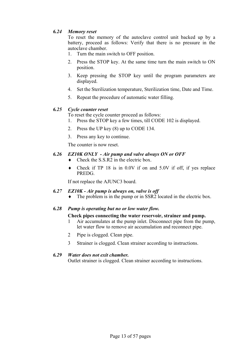#### *6.24 Memory reset*

 To reset the memory of the autoclave control unit backed up by a battery, proceed as follows: Verify that there is no pressure in the autoclave chamber.

- 1. Turn the main switch to OFF position.
- 2. Press the STOP key. At the same time turn the main switch to ON position.
- 3. Keep pressing the STOP key until the program parameters are displayed.
- 4. Set the Sterilization temperature, Sterilization time, Date and Time.
- 5. Repeat the procedure of automatic water filling.

#### *6.25 Cycle counter reset*

To reset the cycle counter proceed as follows:

- 1. Press the STOP key a few times, till CODE 102 is displayed.
- 2. Press the UP key (8) up to CODE 134.
- 3. Press any key to continue.

The counter is now reset.

#### *6.26 EZ10K ONLY - Air pump and valve always ON or OFF*

- $\triangle$  Check the S S R2 in the electric box.
- ♦ Check if TP 18 is in 0.0V if on and 5.0V if off, if yes replace PREDG.

If not replace the AJUNC3 board.

#### *6.27 EZ10K - Air pump is always on, valve is off*

 $\bullet$  The problem is in the pump or in SSR2 located in the electric box.

#### *6.28 Pump is operating but no or low water flow.*

#### **Check pipes connecting the water reservoir, strainer and pump.**

- 1 Air accumulates at the pump inlet. Disconnect pipe from the pump, let water flow to remove air accumulation and reconnect pipe.
- 2 Pipe is clogged. Clean pipe.
- 3 Strainer is clogged. Clean strainer according to instructions.

#### *6.29 Water does not exit chamber.*

Outlet strainer is clogged. Clean strainer according to instructions.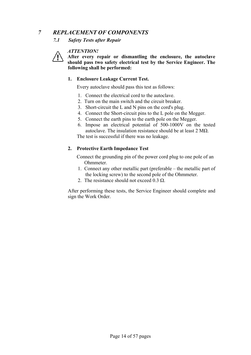#### *7 REPLACEMENT OF COMPONENTS*

#### *7.1 Safety Tests after Repair*

#### *ATTENTION!*



**After every repair or dismantling the enclosure, the autoclave should pass two safety electrical test by the Service Engineer. The following shall be performed:** 

#### **1. Enclosure Leakage Current Test.**

Every autoclave should pass this test as follows:

- 1. Connect the electrical cord to the autoclave.
- 2. Turn on the main switch and the circuit breaker.
- 3. Short-circuit the L and N pins on the cord's plug.
- 4. Connect the Short-circuit pins to the L pole on the Megger.
- 5. Connect the earth pins to the earth pole on the Megger.
- 6. Impose an electrical potential of 500-1000V on the tested autoclave. The insulation resistance should be at least  $2 \text{ M}\Omega$ . The test is successful if there was no leakage.

#### **2. Protective Earth Impedance Test**

Connect the grounding pin of the power cord plug to one pole of an Ohmmeter.

- 1. Connect any other metallic part (preferable the metallic part of the locking screw) to the second pole of the Ohmmeter.
- 2. The resistance should not exceed 0.3  $\Omega$ .

 After performing these tests, the Service Engineer should complete and sign the Work Order.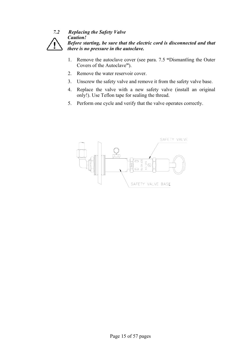#### *7.2 Replacing the Safety Valve Caution! Before starting, be sure that the electric cord is disconnected and that there is no pressure in the autoclave.*

- 1. Remove the autoclave cover (see para. 7.5 **"**Dismantling the Outer Covers of the Autoclave**"**).
- 2. Remove the water reservoir cover.
- 3. Unscrew the safety valve and remove it from the safety valve base.
- 4. Replace the valve with a new safety valve (install an original only!). Use Teflon tape for sealing the thread.
- 5. Perform one cycle and verify that the valve operates correctly.

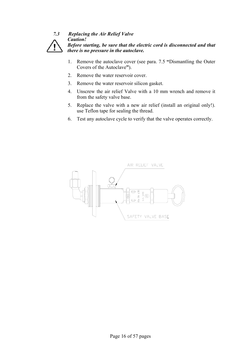#### *7.3 Replacing the Air Relief Valve Caution! Before starting, be sure that the electric cord is disconnected and that there is no pressure in the autoclave.*

- 1. Remove the autoclave cover (see para. 7.5 **"**Dismantling the Outer Covers of the Autoclave**"**).
- 2. Remove the water reservoir cover.
- 3. Remove the water reservoir silicon gasket.
- 4. Unscrew the air relief Valve with a 10 mm wrench and remove it from the safety valve base.
- 5. Replace the valve with a new air relief (install an original only!). use Teflon tape for sealing the thread.
- 6. Test any autoclave cycle to verify that the valve operates correctly.

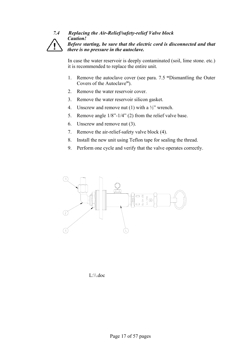#### *7.4 Replacing the Air-Relief/safety-relief Valve block Caution! Before starting, be sure that the electric cord is disconnected and that there is no pressure in the autoclave.*

 In case the water reservoir is deeply contaminated (soil, lime stone. etc.) it is recommended to replace the entire unit.

- 1. Remove the autoclave cover (see para. 7.5 **"**Dismantling the Outer Covers of the Autoclave**"**).
- 2 Remove the water reservoir cover.
- 3. Remove the water reservoir silicon gasket.
- 4. Unscrew and remove nut (1) with a  $\frac{1}{2}$ " wrench.
- 5. Remove angle 1/8"-1/4" (2) from the relief valve base.
- 6. Unscrew and remove nut (3).
- 7. Remove the air-relief-safety valve block (4).
- 8. Install the new unit using Teflon tape for sealing the thread.
- 9. Perform one cycle and verify that the valve operates correctly.



L:\\.doc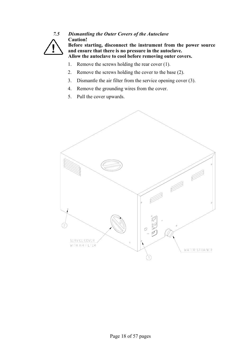

# *7.5 Dismantling the Outer Covers of the Autoclave*  **Caution!**

**Before starting, disconnect the instrument from the power source and ensure that there is no pressure in the autoclave. Allow the autoclave to cool before removing outer covers.** 

- 1. Remove the screws holding the rear cover (1).
- 2. Remove the screws holding the cover to the base (2).
- 3. Dismantle the air filter from the service opening cover (3).
- 4. Remove the grounding wires from the cover.
- 5. Pull the cover upwards.

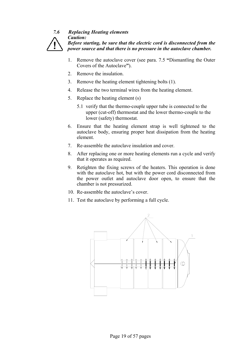# *7.6 Replacing Heating elements*

*Caution:* 

*Before starting, be sure that the electric cord is disconnected from the power source and that there is no pressure in the autoclave chamber.* 

- 1. Remove the autoclave cover (see para. 7.5 **"**Dismantling the Outer Covers of the Autoclave**"**).
- 2. Remove the insulation.
- 3. Remove the heating element tightening bolts (1).
- 4. Release the two terminal wires from the heating element.
- 5. Replace the heating element (s)
	- 5.1 verify that the thermo-couple upper tube is connected to the upper (cut-off) thermostat and the lower thermo-couple to the lower (safety) thermostat.
- 6. Ensure that the heating element strap is well tightened to the autoclave body, ensuring proper heat dissipation from the heating element.
- 7. Re-assemble the autoclave insulation and cover.
- 8. After replacing one or more heating elements run a cycle and verify that it operates as required.
- 9. Retighten the fixing screws of the heaters. This operation is done with the autoclave hot, but with the power cord disconnected from the power outlet and autoclave door open, to ensure that the chamber is not pressurized.
- 10. Re-assemble the autoclave's cover.
- 11. Test the autoclave by performing a full cycle.

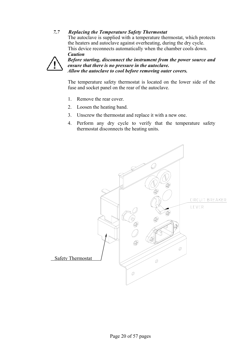#### *7.7 Replacing the Temperature Safety Thermostat*

 The autoclave is supplied with a temperature thermostat, which protects the heaters and autoclave against overheating, during the dry cycle. This device reconnects automatically when the chamber cools down. *Caution* 



*Before starting, disconnect the instrument from the power source and ensure that there is no pressure in the autoclave. Allow the autoclave to cool before removing outer covers.* 

 The temperature safety thermostat is located on the lower side of the fuse and socket panel on the rear of the autoclave.

- 1. Remove the rear cover.
- 2. Loosen the heating band.
- 3. Unscrew the thermostat and replace it with a new one.
- 4. Perform any dry cycle to verify that the temperature safety thermostat disconnects the heating units.

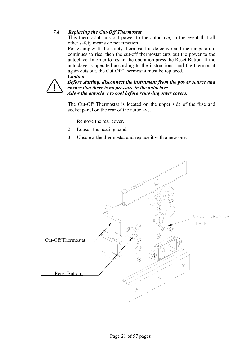#### *7.8 Replacing the Cut-Off Thermostat*

 This thermostat cuts out power to the autoclave, in the event that all other safety means do not function.

 For example: If the safety thermostat is defective and the temperature continues to rise, then the cut-off thermostat cuts out the power to the autoclave. In order to restart the operation press the Reset Button. If the autoclave is operated according to the instructions, and the thermostat again cuts out, the Cut-Off Thermostat must be replaced. *Caution* 



*Before starting, disconnect the instrument from the power source and ensure that there is no pressure in the autoclave. Allow the autoclave to cool before removing outer covers.* 

 The Cut-Off Thermostat is located on the upper side of the fuse and socket panel on the rear of the autoclave.

- 1. Remove the rear cover.
- 2. Loosen the heating band.
- 3. Unscrew the thermostat and replace it with a new one.

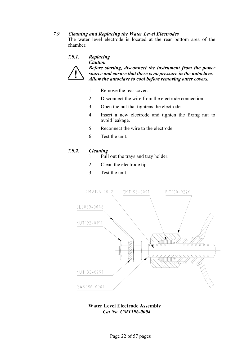#### *7.9 Cleaning and Replacing the Water Level Electrodes*

 The water level electrode is located at the rear bottom area of the chamber.

#### *7.9.1. Replacing*



*Caution Before starting, disconnect the instrument from the power source and ensure that there is no pressure in the autoclave. Allow the autoclave to cool before removing outer covers.* 

- 1. Remove the rear cover.
- 2. Disconnect the wire from the electrode connection.
- 3. Open the nut that tightens the electrode.
- 4. Insert a new electrode and tighten the fixing nut to avoid leakage.
- 5. Reconnect the wire to the electrode.
- 6. Test the unit.

#### *7.9.2. Cleaning*

- 1. Pull out the trays and tray holder.
- 2. Clean the electrode tip.
- 3. Test the unit.



#### **Water Level Electrode Assembly**  *Cat No. CMT196-0004*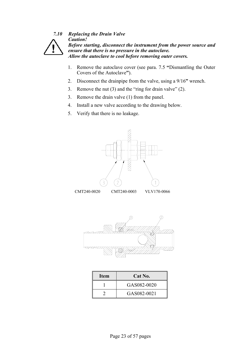

*7.10 Replacing the Drain Valve Caution! Before starting, disconnect the instrument from the power source and ensure that there is no pressure in the autoclave. Allow the autoclave to cool before removing outer covers.* 

- 1. Remove the autoclave cover (see para. 7.5 **"**Dismantling the Outer Covers of the Autoclave**"**).
- 2. Disconnect the drainpipe from the valve, using a 9/16**"** wrench.
- 3. Remove the nut (3) and the "ring for drain valve" (2).
- 3. Remove the drain valve (1) from the panel.
- 4. Install a new valve according to the drawing below.
- 5. Verify that there is no leakage.



CMT240-0020 CMT240-0003 VLV170-0066



| <b>Item</b> | Cat No.     |
|-------------|-------------|
|             | GAS082-0020 |
|             | GAS082-0021 |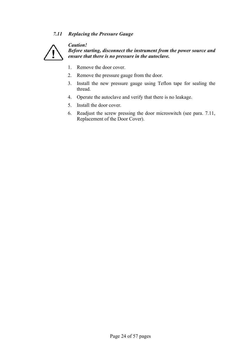#### *7.11 Replacing the Pressure Gauge*



*Caution! Before starting, disconnect the instrument from the power source and ensure that there is no pressure in the autoclave.* 

- 1. Remove the door cover.
- 2. Remove the pressure gauge from the door.
- 3. Install the new pressure gauge using Teflon tape for sealing the thread.
- 4. Operate the autoclave and verify that there is no leakage.
- 5. Install the door cover.
- 6. Readjust the screw pressing the door microswitch (see para. 7.11, Replacement of the Door Cover).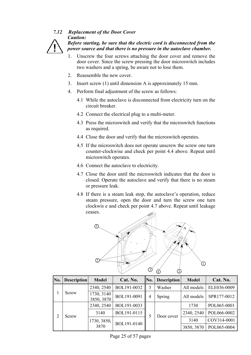#### *7.12 Replacement of the Door Cover Caution:*

*Before starting, be sure that the electric cord is disconnected from the power source and that there is no pressure in the autoclave chamber.* 

- 1. Unscrew the four screws attaching the door cover and remove the door cover. Since the screw pressing the door microswitch includes two washers and a spring, be aware not to lose them.
- 2. Reassemble the new cover.
- 3. Insert screw (1) until dimension A is approximately 15 mm.
- 4. Perform final adjustment of the screw as follows:
	- 4.1 While the autoclave is disconnected from electricity turn on the circuit breaker.
	- 4.2 Connect the electrical plug to a multi-meter.
	- 4.3 Press the microswitch and verify that the microswitch functions as required.
	- 4.4 Close the door and verify that the microswitch operates.
	- 4.5 If the microswitch does not operate unscrew the screw one turn counter-clockwise and check per point 4.4 above. Repeat until microswitch operates.
	- 4.6 Connect the autoclave to electricity.
	- 4.7 Close the door until the microswitch indicates that the door is closed. Operate the autoclave and verify that there is no steam or pressure leak.
	- 4.8 If there is a steam leak stop, the autoclave's operation, reduce steam pressure, open the door and turn the screw one turn clockwis e and check per point 4.7 above. Repeat until leakage ceases.



| No. | <b>Description</b> | <b>Model</b>             | Cat. No.    | No. | <b>Description</b> | <b>Model</b> | Cat. No.    |
|-----|--------------------|--------------------------|-------------|-----|--------------------|--------------|-------------|
|     | Screw              | 2340, 2540               | BOL191-0032 |     | Washer             | All models   | ELE036-0009 |
|     |                    | 1730, 3140<br>3850, 3870 | BOL191-0091 | 4   | Spring             | All models   | SPR177-0012 |
| 2   | Screw              | 2340, 2540               | BOL191-0033 |     |                    | 1730         | POL065-0001 |
|     |                    | 3140                     | BOL191-0115 |     | Door cover         | 2340, 2540   | POL066-0002 |
|     |                    | 1730, 3850,              | BOL191-0140 |     |                    | 3140         | COV314-0001 |
|     |                    | 3870                     |             |     |                    | 3850, 3870   | POL065-0004 |

Page 25 of 57 pages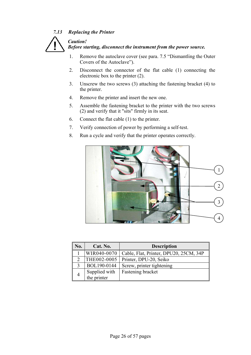#### *7.13 Replacing the Printer*

 *Caution!* 



 *Before starting, disconnect the instrument from the power source.* 

- 1. Remove the autoclave cover (see para. 7.5 "Dismantling the Outer Covers of the Autoclave").
- 2. Disconnect the connector of the flat cable (1) connecting the electronic box to the printer (2).
- 3. Unscrew the two screws (3) attaching the fastening bracket (4) to the printer.
- 4. Remove the printer and insert the new one.
- 5. Assemble the fastening bracket to the printer with the two screws (2) and verify that it "sits" firmly in its seat.
- 6. Connect the flat cable (1) to the printer.
- 7. Verify connection of power by performing a self-test.
- 8. Run a cycle and verify that the printer operates correctly.



| No. | Cat. No.      | <b>Description</b>                     |  |  |
|-----|---------------|----------------------------------------|--|--|
|     | WIR040-0070   | Cable, Flat, Printer, DPU20, 25CM, 34P |  |  |
|     | THE002-0005   | Printer, DPU-20, Seiko                 |  |  |
|     | BOL190-0144   | Screw, printer tightening              |  |  |
|     | Supplied with | Fastening bracket                      |  |  |
|     | the printer   |                                        |  |  |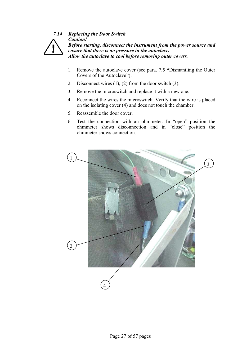

*7.14 Replacing the Door Switch Caution! Before starting, disconnect the instrument from the power source and ensure that there is no pressure in the autoclave. Allow the autoclave to cool before removing outer covers.* 

- 1. Remove the autoclave cover (see para. 7.5 **"**Dismantling the Outer Covers of the Autoclave**"**).
- 2. Disconnect wires (1), (2) from the door switch (3).
- 3. Remove the microswitch and replace it with a new one.
- 4. Reconnect the wires the microswitch. Verify that the wire is placed on the isolating cover (4) and does not touch the chamber.
- 5. Reassemble the door cover.
- 6. Test the connection with an ohmmeter. In "open" position the ohmmeter shows disconnection and in "close" position the ohmmeter shows connection.

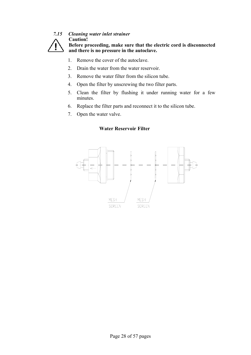

#### *7.15 Cleaning water inlet strainer*  **Caution!**

**Before proceeding, make sure that the electric cord is disconnected and there is no pressure in the autoclave.** 

- 1. Remove the cover of the autoclave.
- 2. Drain the water from the water reservoir.
- 3. Remove the water filter from the silicon tube.
- 4. Open the filter by unscrewing the two filter parts.
- 5. Clean the filter by flushing it under running water for a few minutes.
- 6. Replace the filter parts and reconnect it to the silicon tube.
- 7. Open the water valve.



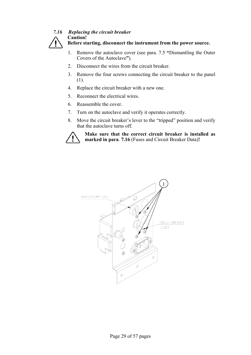#### *7.16 Replacing the circuit breaker*  **Caution!**



**Before starting, disconnect the instrument from the power source.** 

- 1. Remove the autoclave cover (see para. 7.5 **"**Dismantling the Outer Covers of the Autoclave**"**).
- 2. Disconnect the wires from the circuit breaker.
- 3. Remove the four screws connecting the circuit breaker to the panel (1).
- 4. Replace the circuit breaker with a new one.
- 5. Reconnect the electrical wires.
- 6. Reassemble the cover.
- 7. Turn on the autoclave and verify it operates correctly.
- 8. Move the circuit breaker's lever to the "tripped" position and verify that the autoclave turns off.



**Make sure that the correct circuit breaker is installed as marked in para**. **7.16** (Fuses and Circuit Breaker Data)**!** 

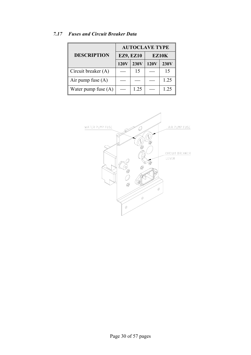|                       | <b>AUTOCLAVE TYPE</b> |                  |              |             |  |  |
|-----------------------|-----------------------|------------------|--------------|-------------|--|--|
| <b>DESCRIPTION</b>    |                       | <b>EZ9, EZ10</b> | <b>EZ10K</b> |             |  |  |
|                       | 120V                  | 230V             | <b>120V</b>  | <b>230V</b> |  |  |
| Circuit breaker (A)   |                       | 15               |              | 15          |  |  |
| Air pump fuse $(A)$   |                       |                  |              | 1.25        |  |  |
| Water pump fuse $(A)$ |                       | 1.25             |              | 1.25        |  |  |

#### *7.17 Fuses and Circuit Breaker Data*

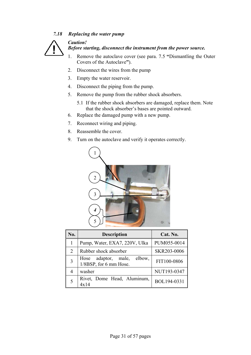#### *7.18 Replacing the water pump*

 *Caution!* 



#### *Before starting, disconnect the instrument from the power source.*

- 1. Remove the autoclave cover (see para. 7.5 **"**Dismantling the Outer Covers of the Autoclave**"**).
- 2. Disconnect the wires from the pump
- 3. Empty the water reservoir.
- 4. Disconnect the piping from the pump.
- 5. Remove the pump from the rubber shock absorbers.
	- 5.1 If the rubber shock absorbers are damaged, replace them. Note that the shock absorber's bases are pointed outward.
- 6. Replace the damaged pump with a new pump.
- 7. Reconnect wiring and piping.
- 8. Reassemble the cover.
- 9. Turn on the autoclave and verify it operates correctly.



| No. | <b>Description</b>                                   | Cat. No.    |
|-----|------------------------------------------------------|-------------|
|     | Pump, Water, EXA7, 220V, Ulka                        | PUM055-0014 |
| 2   | Rubber shock absorber                                | SKR203-0006 |
| 3   | Hose adaptor, male, elbow,<br>1/8BSP, for 6 mm Hose. | FIT100-0806 |
| 4   | washer                                               | NUT193-0347 |
| 5   | Rivet, Dome Head, Aluminum,<br>4x14                  | BOL194-0331 |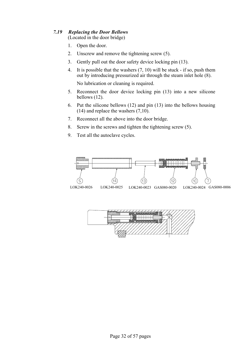#### *7.19 Replacing the Door Bellows*

(Located in the door bridge)

- 1. Open the door.
- 2. Unscrew and remove the tightening screw (5).
- 3. Gently pull out the door safety device locking pin (13).
- 4. It is possible that the washers (7, 10) will be stuck if so, push them out by introducing pressurized air through the steam inlet hole (8).

No lubrication or cleaning is required.

- 5. Reconnect the door device locking pin (13) into a new silicone bellows (12).
- 6. Put the silicone bellows (12) and pin (13) into the bellows housing (14) and replace the washers (7,10).
- 7. Reconnect all the above into the door bridge.
- 8. Screw in the screws and tighten the tightening screw (5).
- 9. Test all the autoclave cycles.

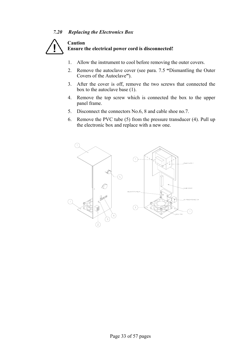#### *7.20 Replacing the Electronics Box*



- 1. Allow the instrument to cool before removing the outer covers.
- 2. Remove the autoclave cover (see para. 7.5 **"**Dismantling the Outer Covers of the Autoclave**"**).
- 3. After the cover is off, remove the two screws that connected the box to the autoclave base (1).
- 4. Remove the top screw which is connected the box to the upper panel frame.
- 5. Disconnect the connectors No.6, 8 and cable shoe no.7.
- 6. Remove the PVC tube (5) from the pressure transducer (4). Pull up the electronic box and replace with a new one.

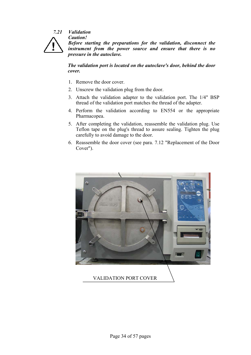#### *7.21 Validation Caution!*



*Before starting the preparations for the validation, disconnect the instrument from the power source and ensure that there is no pressure in the autoclave.* 

 *The validation port is located on the autoclave's door, behind the door cover.* 

- 1. Remove the door cover.
- 2. Unscrew the validation plug from the door.
- 3. Attach the validation adapter to the validation port. The 1/4" BSP thread of the validation port matches the thread of the adapter.
- 4. Perform the validation according to EN554 or the appropriate Pharmacopea.
- 5. After completing the validation, reassemble the validation plug. Use Teflon tape on the plug's thread to assure sealing. Tighten the plug carefully to avoid damage to the door.
- 6. Reassemble the door cover (see para. 7.12 "Replacement of the Door Cover").



VALIDATION PORT COVER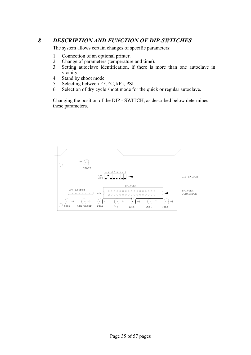# *8 DESCRIPTION AND FUNCTION OF DIP-SWITCHES*

The system allows certain changes of specific parameters:

- 1. Connection of an optional printer.
- 2. Change of parameters (temperature and time).
- 3. Setting autoclave identification, if there is more than one autoclave in vicinity.
- 4. Stand by shoot mode.
- 5. Selecting between ºF,ºC, kPa, PSI.
- 6. Selection of dry cycle shoot mode for the quick or regular autoclave.

 Changing the position of the DIP - SWITCH, as described below determines these parameters.

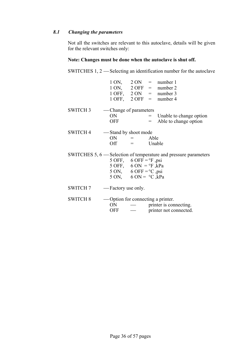#### *8.1 Changing the parameters*

 Not all the switches are relevant to this autoclave, details will be given for the relevant switches only:

# **Note: Changes must be done when the autoclave is shut off.**

SWITCHES 1, 2 — Selecting an identification number for the autoclave

|                 |                                                       |                                                                                                                                        | $1 \text{ ON}, \quad 2 \text{ ON} = \text{number} 1$<br>$1 \text{ ON}, \quad 2 \text{ OFF} = \text{number } 2$<br>$1 \text{ OFF}, 2 \text{ ON} = \text{number } 3$<br>$1$ OFF, $2$ OFF = number 4 |
|-----------------|-------------------------------------------------------|----------------------------------------------------------------------------------------------------------------------------------------|---------------------------------------------------------------------------------------------------------------------------------------------------------------------------------------------------|
| SWITCH 3        | — Change of parameters<br>ON<br><b>OFF</b>            |                                                                                                                                        | $=$ Unable to change option<br>$=$ Able to change option                                                                                                                                          |
| <b>SWITCH 4</b> | — Stand by shoot mode                                 | $ON =$ Able<br>$Off =$ Unable                                                                                                          |                                                                                                                                                                                                   |
|                 |                                                       | 5 OFF, 6 OFF = $\degree$ F, psi<br>5 OFF, 6 ON = $\degree$ F, kPa<br>5 ON, 6 OFF = $^{\circ}$ C , psi<br>5 ON, 6 ON = $\degree$ C, kPa | SWITCHES 5, 6 — Selection of temperature and pressure parameters                                                                                                                                  |
|                 | SWITCH 7 - Factory use only.                          |                                                                                                                                        |                                                                                                                                                                                                   |
| <b>SWITCH 8</b> | -Option for connecting a printer.<br>ON<br><b>OFF</b> |                                                                                                                                        | — printer is connecting.<br>printer not connected.                                                                                                                                                |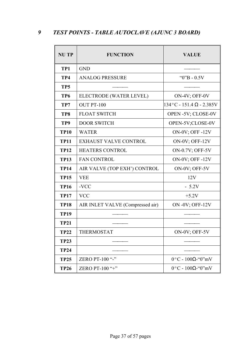# *9 TEST POINTS - TABLE AUTOCLAVE (AJUNC 3 BOARD)*

| <b>NUTP</b>     | <b>FUNCTION</b>                  | <b>VALUE</b>                              |
|-----------------|----------------------------------|-------------------------------------------|
| TP1             | <b>GND</b>                       |                                           |
| TP4             | <b>ANALOG PRESSURE</b>           | " $0$ "B - $0.5V$                         |
| TP <sub>5</sub> |                                  |                                           |
| TP <sub>6</sub> | ELECTRODE (WATER LEVEL)          | ON-4V; OFF-0V                             |
| TP7             | <b>OUT PT-100</b>                | $134^{\circ}$ C - 151.4 $\Omega$ - 2.385V |
| TP8             | <b>FLOAT SWITCH</b>              | OPEN -5V; CLOSE-0V                        |
| TP <sub>9</sub> | <b>DOOR SWITCH</b>               | OPEN-5V;CLOSE-0V                          |
| <b>TP10</b>     | <b>WATER</b>                     | <b>ON-0V; OFF-12V</b>                     |
| <b>TP11</b>     | <b>EXHAUST VALVE CONTROL</b>     | ON-0V; OFF-12V                            |
| <b>TP12</b>     | <b>HEATERS CONTROL</b>           | ON-0.7V; OFF-5V                           |
| <b>TP13</b>     | <b>FAN CONTROL</b>               | <b>ON-0V; OFF-12V</b>                     |
| <b>TP14</b>     | AIR VALVE (TOP EXH') CONTROL     | ON-0V; OFF-5V                             |
| <b>TP15</b>     | <b>VEE</b>                       | 12V                                       |
| <b>TP16</b>     | -VCC                             | $-5.2V$                                   |
| <b>TP17</b>     | <b>VCC</b>                       | $+5.2V$                                   |
| <b>TP18</b>     | AIR INLET VALVE (Compressed air) | ON -0V; OFF-12V                           |
| <b>TP19</b>     |                                  |                                           |
| <b>TP21</b>     |                                  |                                           |
| <b>TP22</b>     | <b>THERMOSTAT</b>                | ON-0V; OFF-5V                             |
| <b>TP23</b>     |                                  |                                           |
| <b>TP24</b>     |                                  |                                           |
| <b>TP25</b>     | ZERO PT-100 "-"                  | $0^{\circ}$ C - 100 $\Omega$ -"0"mV       |
| <b>TP26</b>     | ZERO PT-100 "+"                  | $0^{\circ}$ C - 100 $\Omega$ -"0"mV       |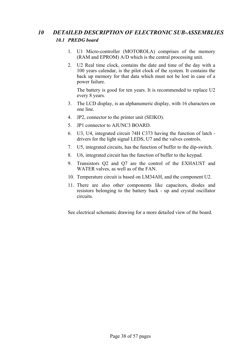# *10 DETAILED DESCRIPTION OF ELECTRONIC SUB-ASSEMBLIES 10.1 PREDG board*

- 1. U1 Micro-controller (MOTOROLA) comprises of the memory (RAM and EPROM) A/D which is the central processing unit.
- 2. U2 Real time clock, contains the date and time of the day with a 100 years calendar, is the pilot clock of the system. It contains the back up memory for that data which must not be lost in case of a power failure.

 The battery is good for ten years. It is recommended to replace U2 every 8 years.

- 3. The LCD display, is an alphanumeric display, with 16 characters on one line.
- 4. JP2, connector to the printer unit (SEIKO).
- 5. JP1 connector to AJUNC3 BOARD.
- 6. U3, U4, integrated circuit 74H C373 having the function of latch drivers for the light signal LEDS, U7 and the valves controls.
- 7. U5, integrated circuits, has the function of buffer to the dip-switch.
- 8. U6, integrated circuit has the function of buffer to the keypad.
- 9. Transistors Q2 and Q7 are the control of the EXHAUST and WATER valves, as well as of the FAN.
- 10. Temperature circuit is based on LM34AH, and the component U2.
- 11. There are also other components like capacitors, diodes and resistors belonging to the battery back - up and crystal oscillator circuits.

See electrical schematic drawing for a more detailed view of the board.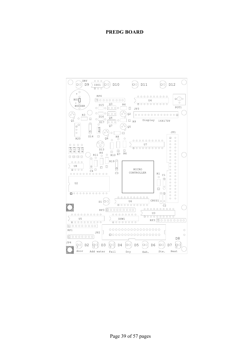#### **PREDG BOARD**

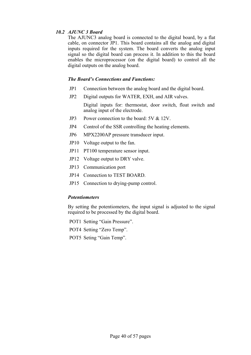#### *10.2 AJUNC 3 Board*

 The AJUNC3 analog board is connected to the digital board, by a flat cable, on connector JP1. This board contains all the analog and digital inputs required for the system. The board converts the analog input signal so the digital board can process it. In addition to this the board enables the microprocessor (on the digital board) to control all the digital outputs on the analog board.

#### *The Board's Connections and Functions:*

- JP1 Connection between the analog board and the digital board.
- JP2 Digital outputs for WATER, EXH, and AIR valves.

 Digital inputs for: thermostat, door switch, float switch and analog input of the electrode.

- JP3 Power connection to the board: 5V & 12V.
- JP4 Control of the SSR controlling the heating elements.
- JP6 MPX2200AP pressure transducer input.
- JP10 Voltage output to the fan.
- JP11 PT100 temperature sensor input.
- JP12 Voltage output to DRY valve.
- JP13 Communication port
- JP14 Connection to TEST BOARD.
- JP15 Connection to drying-pump control.

#### *Potentiometers*

 By setting the potentiometers, the input signal is adjusted to the signal required to be processed by the digital board.

- POT1 Setting "Gain Pressure".
- POT4 Setting "Zero Temp".
- POT5 Seting "Gain Temp".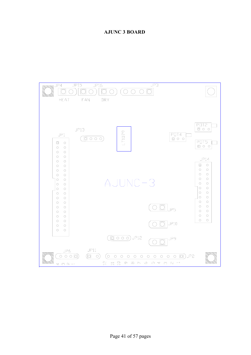#### **AJUNC 3 BOARD**

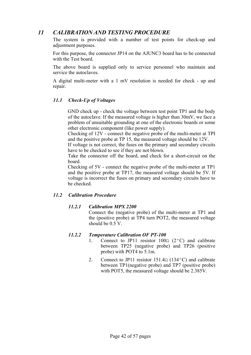# *11 CALIBRATION AND TESTING PROCEDURE*

 The system is provided with a number of test points for check-up and adjustment purposes.

 For this purpose, the connector JP14 on the AJUNC3 board has to be connected with the Test board.

 The above board is supplied only to service personnel who maintain and service the autoclaves.

 A digital multi-meter with a 1 mV resolution is needed for check - up and repair.

#### *11.1 Check-Up of Voltages*

 GND check up - check the voltage between test point TP1 and the body of the autoclave. If the measured voltage is higher than 30mV, we face a problem of unsuitable grounding at one of the electronic boards or some other electronic component (like power supply).

 Checking of 12V - connect the negative probe of the multi-meter at TPI and the positive probe at TP 15, the measured voltage should be 12V.

 If voltage is not correct, the fuses on the primary and secondary circuits have to be checked to see if they are not blown.

 Take the connector off the board, and check for a short-circuit on the board.

 Checking of 5V - connect the negative probe of the multi-meter at TP1 and the positive probe at TP17, the measured voltage should be 5V. If voltage is incorrect the fuses on primary and secondary circuits have to be checked.

#### *11.2 Calibration Procedure*

#### *11.2.1 Calibration MPX 2200*

 Connect the (negative probe) of the multi-meter at TP1 and the (positive probe) at TP4 turn POT2, the measured voltage should be  $0.5V$ .

#### *11.2.2 Temperature Calibration OF PT-100*

- 1. Connect to JP11 resistor 100 $\Omega$  (2°C) and calibrate between TP25 (negative probe) and TP26 (positive probe) with POT4 to 5.1m.
- 2. Connect to JP11 resistor 151.4Ω (134ºC) and calibrate between TP1(negative probe) and TP7 (positive probe) with POT5, the measured voltage should be 2.385V.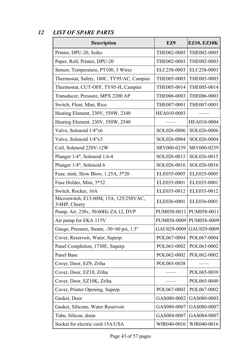# *12 LIST OF SPARE PARTS*

| <b>Description</b>                                      | EZ9         | <b>EZ10, EZ10K</b>        |
|---------------------------------------------------------|-------------|---------------------------|
| Printer, DPU-20, Seiko                                  | THE002-0005 | THE002-0005               |
| Paper, Roll, Printer, DPU-20                            | THE002-0003 | THE002-0003               |
| Sensor, Temperature, PT100, 3 Wires                     | ELC258-0003 | ELC258-0003               |
| Thermostat, Safety, 180C, TY95/AC, Campini              | THE005-0003 | THE005-0003               |
| Thermostat, CUT-OFF, TY95-H, Campini                    | THE005-0014 | THE005-0014               |
| Transducer, Pressure, MPX 2200 AP                       | THE006-0003 | THE006-0003               |
| Switch, Float, Mini, Rico                               | THE007-0001 | THE007-0001               |
| Heating Element, 230V, 550W, 2340                       | HEA010-0003 |                           |
| Heating Element, 230V, 550W, 2540                       |             | HEA010-0004               |
| Valve, Solenoid 1/4"x6                                  | SOL026-0006 | SOL026-0006               |
| Valve, Solenoid 1/4"x3                                  | SOL026-0004 | SOL026-0004               |
| Coil, Solenoid 220V-12W                                 | SRV000-0239 | SRV000-0239               |
| Plunger 1/4", Solenoid 1.6-4                            | SOL026-0015 | SOL026-0015               |
| Plunger 1/4", Solenoid 6                                | SOL026-0016 | SOL026-0016               |
| Fuse, mini, Slow Blow, 1.25A, 5*20                      | ELE035-0005 | ELE035-0005               |
| Fuse Holder, Mini, 5*32                                 | ELE035-0001 | ELE035-0001               |
| Switch, Rocker, 16A                                     | ELE035-0012 | ELE035-0012               |
| Microswitch, E13-00M, 15A, 125/250VAC,<br>3/4HP, Cheery | ELE036-0001 | ELE036-0001               |
| Pump, Air, 230v, 50/60Hz ZA.12, DVP                     |             | PUM058-0011 PUM058-0011   |
| Air pump for EKA 115V                                   |             | PUM058-0009   PUM058-0009 |
| Gauge, Pressure, Steam, -30+60 psi, 1.5"                | GAU029-0009 | GAU029-0009               |
| Cover, Reservoir, Water, Superp.                        | POL067-0004 | POL067-0004               |
| Panel Completion, 1730E, Superp.                        | POL063-0002 | POL063-0002               |
| Panel Base                                              | POL062-0002 | POL062-0002               |
| Cover, Door, EZ9, Zriha                                 | POL065-0038 |                           |
| Cover, Door, EZ10, Zriha                                |             | POL065-0039               |
| Cover, Door, EZ10K, Zriha                               |             | POL065-0040               |
| Cover, Printer Opening, Superp.                         | POL067-0002 | POL067-0002               |
| Gasket, Door                                            | GAS080-0002 | GAS080-0003               |
| Gasket, Silicone, Water Reservoir                       | GAS080-0007 | GAS080-0007               |
| Tube, Silicon, drain                                    | GAS084-0007 | GAS084-0007               |
| Socket for electric cord 15A/USA                        | WIR040-0016 | WIR040-0016               |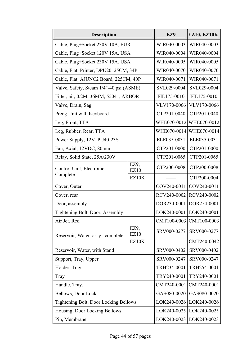| <b>Description</b>                           | EZ9          | <b>EZ10, EZ10K</b>        |             |
|----------------------------------------------|--------------|---------------------------|-------------|
| Cable, Plug+Socket 230V 10A, EUR             | WIR040-0003  | WIR040-0003               |             |
| Cable, Plug+Socket 120V 15A, USA             | WIR040-0004  | WIR040-0004               |             |
| Cable, Plug+Socket 230V 15A, USA             |              | WIR040-0005               | WIR040-0005 |
| Cable, Flat, Printer, DPU20, 25CM, 34P       |              | WIR040-0070               | WIR040-0070 |
| Cable, Flat, AJUNC2 Board, 225CM, 40P        |              | WIR040-0071               | WIR040-0071 |
| Valve, Safety, Steam 1/4"-40 psi (ASME)      |              | SVL029-0004               | SVL029-0004 |
| Filter, air, 0.2M, 36MM, 55041, ARBOR        |              | FIL175-0010               | FIL175-0010 |
| Valve, Drain, Sag.                           |              | VLV170-0066               | VLV170-0066 |
| Predg Unit with Keyboard                     |              | CTP201-0040               | CTP201-0040 |
| Leg, Front, TTA                              |              | WHE070-0012               | WHE070-0012 |
| Leg, Rubber, Rear, TTA                       |              | WHE070-0014               | WHE070-0014 |
| Power Supply, 12V, PU40-23S                  |              | ELE035-0031               | ELE035-0031 |
| Fan, Axial, 12VDC, 80mm                      |              | CTP201-0000               | CTP201-0000 |
| Relay, Solid State, 25A/230V                 |              | CTP201-0065               | CTP201-0065 |
| Control Unit, Electronic,                    | EZ9,<br>EZ10 | CTP200-0008               | CTP200-0008 |
| Complete                                     | EZ10K        |                           | CTP200-0004 |
| Cover, Outer                                 |              | $COV240-0011$             | COV240-0011 |
| Cover, rear                                  |              | RCV240-0002               | RCV240-0002 |
| Door, assembly                               |              | DOR234-0001               | DOR254-0001 |
| Tightening Bolt, Door, Assembly              |              | LOK240-0001   LOK240-0001 |             |
| Air Jet, Red                                 |              | CMT100-0003               | CMT100-0003 |
| Reservoir, Water , assy., complete           | EZ9,<br>EZ10 | SRV000-0277               | SRV000-0277 |
|                                              | EZ10K        |                           | CMT240-0042 |
| Reservoir, Water, with Stand                 |              | SRV000-0402               | SRV000-0402 |
| Support, Tray, Upper                         |              | SRV000-0247               | SRV000-0247 |
| Holder, Tray                                 | TRH234-0001  | TRH254-0001               |             |
| Tray                                         | TRY240-0001  | TRY240-0001               |             |
| Handle, Tray,                                | CMT240-0001  | CMT240-0001               |             |
| Bellows, Door Lock                           | GAS080-0020  | GAS080-0020               |             |
| <b>Tightening Bolt, Door Locking Bellows</b> |              | LOK240-0026               | LOK240-0026 |
| Housing, Door Locking Bellows                |              | LOK240-0025               | LOK240-0025 |
| Pin, Membrane                                |              | LOK240-0023               | LOK240-0023 |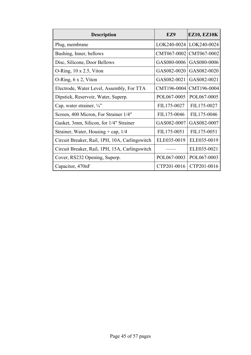| <b>Description</b>                             | EZ9         | <b>EZ10, EZ10K</b>      |
|------------------------------------------------|-------------|-------------------------|
| Plug, membrane                                 |             | LOK240-0024 LOK240-0024 |
| Bushing, Inner, bellows                        | CMT067-0002 | CMT067-0002             |
| Disc, Silicone, Door Bellows                   | GAS080-0006 | GAS080-0006             |
| O-Ring, $10 \times 2.5$ , Viton                | GAS082-0020 | GAS082-0020             |
| O-Ring, $6 \times 2$ , Viton                   | GAS082-0021 | GAS082-0021             |
| Electrode, Water Level, Assembly, For TTA      | CMT196-0004 | CMT196-0004             |
| Dipstick, Reservoir, Water, Superp.            | POL067-0005 | POL067-0005             |
| Cap, water strainer, $\frac{1}{4}$ "           | FIL175-0027 | FIL175-0027             |
| Screen, 400 Micron, For Strainer 1/4"          | FIL175-0046 | FIL175-0046             |
| Gasket, 3mm, Silicon, for 1/4" Strainer        | GAS082-0007 | GAS082-0007             |
| Strainer, Water, Housing + cap, $1/4$          | FIL175-0051 | FIL175-0051             |
| Circuit Breaker, Rail, 1PH, 10A, Carlingswitch | ELE035-0019 | ELE035-0019             |
| Circuit Breaker, Rail, 1PH, 15A, Carlingswitch |             | ELE035-0021             |
| Cover, RS232 Opening, Superp.                  | POL067-0003 | POL067-0003             |
| Capacitor, 470nF                               | CTP201-0016 | CTP201-0016             |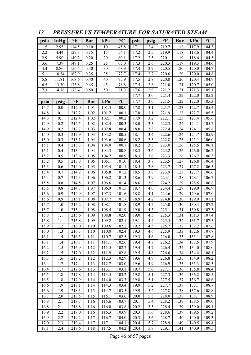| 1.5<br>2.95<br>0.10<br>45.8<br>17.1<br>1.18<br>117.9<br>114.5<br>10<br>2.4<br>219.7<br>2.2<br>4.44<br>129.3<br>0.15<br>15<br>54.1<br>17.2<br>2.5<br>219.9<br>1.18<br>118.6<br>2.9<br>5.90<br>140.2<br>60.1<br>17.2<br>2.5<br>0.20<br>20<br>220.1<br>118.6<br>1.19<br>7.39<br>2.6<br>3.6<br>25<br>65.0<br>220.3<br>1.19<br>149.1<br>0.25<br>17.3<br>119.3<br>8.86<br>156.4<br>0.30<br>30<br>68.9<br>2.7<br>220.5<br>1.20<br>120.0<br>4.4<br>17.4<br>5.1<br>220.6<br>1.20<br>10.34<br>162.9<br>0.35<br>35<br>72.7<br>17.4<br>2.7<br>120.0<br>5.8<br>17.5<br>11.81<br>168.6<br>0.40<br>40<br>75.9<br>2.8<br>220.8<br>1.20<br>120.4 | 104.3<br>104.4<br>104.5<br>104.6<br>104.7<br>104.8<br>104.9<br>105.0<br>105.1<br>105.2<br>105.3 |
|---------------------------------------------------------------------------------------------------------------------------------------------------------------------------------------------------------------------------------------------------------------------------------------------------------------------------------------------------------------------------------------------------------------------------------------------------------------------------------------------------------------------------------------------------------------------------------------------------------------------------------|-------------------------------------------------------------------------------------------------|
|                                                                                                                                                                                                                                                                                                                                                                                                                                                                                                                                                                                                                                 |                                                                                                 |
|                                                                                                                                                                                                                                                                                                                                                                                                                                                                                                                                                                                                                                 |                                                                                                 |
|                                                                                                                                                                                                                                                                                                                                                                                                                                                                                                                                                                                                                                 |                                                                                                 |
|                                                                                                                                                                                                                                                                                                                                                                                                                                                                                                                                                                                                                                 |                                                                                                 |
|                                                                                                                                                                                                                                                                                                                                                                                                                                                                                                                                                                                                                                 |                                                                                                 |
|                                                                                                                                                                                                                                                                                                                                                                                                                                                                                                                                                                                                                                 |                                                                                                 |
|                                                                                                                                                                                                                                                                                                                                                                                                                                                                                                                                                                                                                                 |                                                                                                 |
| 6.5<br>13.30<br>173.8<br>0.45<br>45<br>78.8<br>17.5<br>2.8<br>221.0<br>1.21<br>120.7                                                                                                                                                                                                                                                                                                                                                                                                                                                                                                                                            |                                                                                                 |
| 7.3<br>50<br>2.9<br>1.21<br>14.76<br>178.4<br>0.50<br>81.3<br>17.6<br>221.2<br>121.3                                                                                                                                                                                                                                                                                                                                                                                                                                                                                                                                            |                                                                                                 |
| 17.7<br>3.0<br>221.4<br>1.22<br>122.0                                                                                                                                                                                                                                                                                                                                                                                                                                                                                                                                                                                           |                                                                                                 |
| $\mathbf{P}$<br>$\rm ^{\circ}C$<br>kPa<br><b>Bar</b><br>3.0<br>221.5<br>1.22<br>122.0<br>psia<br>17.7<br>psig                                                                                                                                                                                                                                                                                                                                                                                                                                                                                                                   |                                                                                                 |
| 1.01<br>101.3<br>3.1<br>221.7<br>1.23<br>122.7<br>14.7<br>0.0<br>212.0<br>100.0<br>17.8                                                                                                                                                                                                                                                                                                                                                                                                                                                                                                                                         | 105.4                                                                                           |
| 3.1<br>1.23<br>14.8<br>0.1<br>212.2<br>1.02<br>101.7<br>100.1<br>17.8<br>221.9<br>122.7                                                                                                                                                                                                                                                                                                                                                                                                                                                                                                                                         | 105.5                                                                                           |
| 14.8<br>0.1<br>212.4<br>1.02<br>102.1<br>100.2<br>17.9<br>3.2<br>222.1<br>1.23<br>123.4                                                                                                                                                                                                                                                                                                                                                                                                                                                                                                                                         | 105.6                                                                                           |
| 3.3<br>14.9<br>$0.2\,$<br>212.5<br>102.4<br>100.3<br>18.0<br>124.1<br>222.3<br>1.24<br>1.02                                                                                                                                                                                                                                                                                                                                                                                                                                                                                                                                     | 105.7                                                                                           |
| 3.3<br>0.2<br>212.7<br>102.8<br>222.4<br>1.24<br>124.1<br>14.9<br>1.03<br>100.4<br>18.0                                                                                                                                                                                                                                                                                                                                                                                                                                                                                                                                         | 105.8                                                                                           |
| 15.0<br>0.3<br>212.9<br>1.03<br>103.2<br>100.5<br>18.1<br>3.4<br>222.6<br>1.24<br>124.7                                                                                                                                                                                                                                                                                                                                                                                                                                                                                                                                         | 105.9                                                                                           |
| 15.0<br>0.3<br>1.04<br>103.6<br>18.2<br>3.5<br>222.8<br>1.25<br>125.1<br>213.1<br>100.6                                                                                                                                                                                                                                                                                                                                                                                                                                                                                                                                         | 106.0                                                                                           |
| 15.1<br>213.3<br>1.04<br>104.0<br>100.7<br>18.2<br>3.5<br>223.0<br>1.26<br>125.5<br>0.4                                                                                                                                                                                                                                                                                                                                                                                                                                                                                                                                         | 106.1                                                                                           |
| 15.1<br>1.04<br>104.3<br>100.8<br>18.3<br>3.6<br>223.2<br>0.4<br>213.4<br>1.26<br>126.0                                                                                                                                                                                                                                                                                                                                                                                                                                                                                                                                         | 106.2                                                                                           |
| 15.2<br>1.05<br>104.7<br>100.9<br>18.3<br>223.3<br>1.26<br>0.5<br>213.6<br>3.6<br>126.2                                                                                                                                                                                                                                                                                                                                                                                                                                                                                                                                         | 106.3                                                                                           |
| 15.2<br>105.1<br>101.0<br>18.4<br>3.7<br>0.5<br>213.8<br>1.05<br>223.5<br>1.27<br>126.8                                                                                                                                                                                                                                                                                                                                                                                                                                                                                                                                         | 106.4                                                                                           |
| 15.3<br>3.8<br>105.4<br>101.1<br>18.5<br>0.6<br>214.0<br>1.05<br>223.7<br>1.27<br>127.2                                                                                                                                                                                                                                                                                                                                                                                                                                                                                                                                         | 106.5                                                                                           |
| 15.4<br>0.7<br>214.2<br>105.8<br>101.2<br>18.5<br>3.8<br>1.06<br>223.9<br>1.28<br>127.7                                                                                                                                                                                                                                                                                                                                                                                                                                                                                                                                         | 106.6                                                                                           |
| 15.4<br>0.7<br>214.3<br>1.06<br>106.2<br>101.3<br>18.6<br>3.9<br>224.1<br>128.1<br>1.28                                                                                                                                                                                                                                                                                                                                                                                                                                                                                                                                         | 106.7                                                                                           |
| 15.5<br>$0.8\,$<br>18.6<br>3.9<br>128.5<br>214.5<br>1.07<br>106.6<br>101.4<br>224.2<br>1.29                                                                                                                                                                                                                                                                                                                                                                                                                                                                                                                                     | 106.8                                                                                           |
| 18.7<br>15.5<br>0.8<br>1.07<br>106.9<br>101.5<br>224.4<br>1.29<br>129.0<br>214.7<br>4.0                                                                                                                                                                                                                                                                                                                                                                                                                                                                                                                                         | 106.9                                                                                           |
| 15.6<br>18.8<br>4.1<br>0.9<br>214.9<br>1.07<br>107.3<br>101.6<br>224.6<br>1.29<br>129.6                                                                                                                                                                                                                                                                                                                                                                                                                                                                                                                                         | 107.0                                                                                           |
| 15.6<br>0.9<br>107.7<br>101.7<br>18.9<br>4.2<br>224.8<br>1.30<br>129.9<br>215.1<br>1.08                                                                                                                                                                                                                                                                                                                                                                                                                                                                                                                                         | 107.1                                                                                           |
| 15.7<br>$1.0\,$<br>101.8<br>18.9<br>4.2<br>215.2<br>108.1<br>225.0<br>1.30<br>130.4<br>1.08                                                                                                                                                                                                                                                                                                                                                                                                                                                                                                                                     | 107.2                                                                                           |
| 15.7<br>215.4<br>108.4<br>101.9<br>19.0<br>4.3<br>225.1<br>1.31<br>1.0<br>1.08<br>130.8                                                                                                                                                                                                                                                                                                                                                                                                                                                                                                                                         | 107.3                                                                                           |
| 15.8<br>1.1<br>215.6<br>1.09<br>108.8<br>102.0<br>4.3<br>225.3<br>1.31<br>131.3<br>19.0                                                                                                                                                                                                                                                                                                                                                                                                                                                                                                                                         | 107.4                                                                                           |
| 225.5<br>15.8<br>1.1<br>215.8<br>1.09<br>109.2<br>102.1<br>19.1<br>4.4<br>1.32<br>131.7                                                                                                                                                                                                                                                                                                                                                                                                                                                                                                                                         | 107.5                                                                                           |
| 102.2<br>15.9<br>1.2<br>216.0<br>19.2<br>4.5<br>1.32<br>132.2<br>1.10<br>109.6<br>225.7                                                                                                                                                                                                                                                                                                                                                                                                                                                                                                                                         | 107.6                                                                                           |
| 16.0<br>1.3<br>216.3<br>1.10<br>110.0<br>102.4<br>19.3<br>4.6<br>225.9<br>1.33<br>132.6                                                                                                                                                                                                                                                                                                                                                                                                                                                                                                                                         | 107.7                                                                                           |
| 16.1<br>216.5<br>110.7<br>102.5<br>19.3<br>4.6<br>226.0<br>1.33<br>133.1<br>1.4<br>1.11                                                                                                                                                                                                                                                                                                                                                                                                                                                                                                                                         | 107.8                                                                                           |
| 111.1<br>102.6<br>19.4<br>4.7<br>226.2<br>1.34<br>133.5<br>16.1<br>1.4<br>216.7<br>1.11                                                                                                                                                                                                                                                                                                                                                                                                                                                                                                                                         | 107.9                                                                                           |
| 102.7<br>16.2<br>1.5<br>216.9<br>111.5<br>19.4<br>4.7<br>1.34<br>134.0<br>1.12<br>226.4                                                                                                                                                                                                                                                                                                                                                                                                                                                                                                                                         | 108.0                                                                                           |
| 16.2<br>1.5<br>217.0<br>1.12<br>111.9<br>102.8<br>19.5<br>4.8<br>226.6<br>1.34<br>134.4                                                                                                                                                                                                                                                                                                                                                                                                                                                                                                                                         | 108.1                                                                                           |
| 16.3<br>1.6<br>217.2<br>112.3<br>102.9<br>19.6<br>4.9<br>1.12<br>226.8<br>1.35<br>134.9                                                                                                                                                                                                                                                                                                                                                                                                                                                                                                                                         | 108.2                                                                                           |
| 1.7<br>16.4<br>217.4<br>1.13<br>112.7<br>19.6<br>4.9<br>226.9<br>135.3<br>103.0<br>1.35                                                                                                                                                                                                                                                                                                                                                                                                                                                                                                                                         | 108.3                                                                                           |
| 1.7<br>113.1<br>103.1<br>19.7<br>1.36<br>135.8<br>16.4<br>217.6<br>1.13<br>5.0<br>227.1                                                                                                                                                                                                                                                                                                                                                                                                                                                                                                                                         | 108.4                                                                                           |
| 16.5<br>113.5<br>103.2<br>19.8<br>5.1<br>1.8<br>217.8<br>1.14<br>227.3<br>1.36<br>136.2                                                                                                                                                                                                                                                                                                                                                                                                                                                                                                                                         | 108.5                                                                                           |
| 19.8<br>5.1<br>16.5<br>1.8<br>217.9<br>114.0<br>103.3<br>227.5<br>1.37<br>136.7<br>1.14                                                                                                                                                                                                                                                                                                                                                                                                                                                                                                                                         | 108.6                                                                                           |
| 16.6<br>218.1<br>114.3<br>103.4<br>19.9<br>5.2<br>137.1<br>1.9<br>1.14<br>227.7<br>1.37                                                                                                                                                                                                                                                                                                                                                                                                                                                                                                                                         | 108.7                                                                                           |
| 5.2<br>16.6<br>1.9<br>218.3<br>114.7<br>103.5<br>19.9<br>227.8<br>1.15<br>1.38<br>137.6                                                                                                                                                                                                                                                                                                                                                                                                                                                                                                                                         | 108.8                                                                                           |
| 5.3<br>16.7<br>2.0<br>218.5<br>1.15<br>115.1<br>138.1<br>103.6<br>20.0<br>228.0<br>1.38                                                                                                                                                                                                                                                                                                                                                                                                                                                                                                                                         | 108.9                                                                                           |
| 2.1<br>16.8<br>218.7<br>1.16<br>115.6<br>103.7<br>20.1<br>5.4<br>228.2<br>1.39<br>138.5                                                                                                                                                                                                                                                                                                                                                                                                                                                                                                                                         | 109.0                                                                                           |
| 2.1<br>16.8<br>218.8<br>5.5<br>1.16<br>116.0<br>103.8<br>20.2<br>228.4<br>1.39<br>139.0                                                                                                                                                                                                                                                                                                                                                                                                                                                                                                                                         | 109.1                                                                                           |
| 16.9<br>2.2<br>116.3<br>139.5<br>219.0<br>1.16<br>103.9<br>20.3<br>5.6<br>228.6<br>1.39                                                                                                                                                                                                                                                                                                                                                                                                                                                                                                                                         | 109.2                                                                                           |
| 16.9<br>2.2<br>219.2<br>116.7<br>104.0<br>20.3<br>5.6<br>228.7<br>140.0<br>1.17<br>1.40<br>2.3<br>5.7<br>17.0<br>219.4<br>1.17<br>117.1<br>104.1<br>20.4<br>228.9<br>1.40<br>140.5                                                                                                                                                                                                                                                                                                                                                                                                                                              | 109.3<br>109.4                                                                                  |
| 17.1<br>2.4<br>104.2<br>5.7<br>219.6<br>117.5<br>20.4<br>229.1<br>1.41<br>140.9<br>1.18                                                                                                                                                                                                                                                                                                                                                                                                                                                                                                                                         | 109.5                                                                                           |

*13 PRESSURE VS TEMPERATURE FOR SATURATED STEAM* 

Page 46 of 57 pages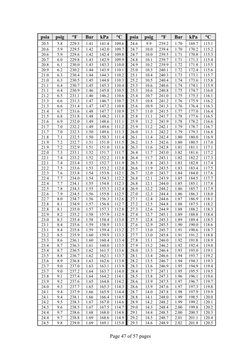| psia         | psig       | $\mathbf{P}$   | <b>Bar</b>   | kPa            | $\rm ^{\circ}C$ | psia         | psig         | $\mathbf{P}$   | <b>Bar</b>   | kPa            | $\rm ^{\circ}C$ |
|--------------|------------|----------------|--------------|----------------|-----------------|--------------|--------------|----------------|--------------|----------------|-----------------|
| 20.5         | 5.8        | 229.3          | 1.41         | 141.4          | 109.6           | 24.6         | 9.9          | 239.2          | 1.70         | 169.7          | 115.1           |
| 20.6         | 5.9        | 229.5          | 1.42         | 142.0          | 109.7           | 24.7         | 10.0         | 239.4          | 1.70         | 170.2          | 115.2           |
| 20.6         | 5.9        | 229.6          | 1.42         | 142.4          | 109.8           | 24.7         | 10.0         | 239.5          | 1.71         | 170.8          | 115.3           |
| 20.7         | 6.0        | 229.8          | 1.43         | 142.9          | 109.9           | 24.8         | 10.1         | 239.7          | 1.71         | 171.3          | 115.4           |
| 20.8         | 6.1        | 230.0          | 1.43         | 143.3          | 110.0           | 24.9         | 10.2         | 239.9          | 1.72         | 171.8          | 115.5           |
| 20.9         | 6.2        | 230.2          | 1.44         | 143.9          | 110.1           | 25.0         | 10.3         | 240.1          | 1.72         | 172.4          | 115.6           |
| 21.0         | 6.3        | 230.4          | 1.44         | 144.3          | 110.2           | 25.1         | 10.4         | 240.3          | 1.73         | 173.1          | 115.7           |
| 21.0         | 6.3        | 230.5          | 1.45         | 144.8          | 110.3           | 25.2         | 10.5         | 240.4          | 1.74         | 173.6          | 115.8           |
| 21.1         | 6.4        | 230.7          | 1.45         | 145.3          | 110.4           | 25.3         | 10.6         | 240.6          | 1.74         | 174.1          | 115.9           |
| 21.1         | 6.4        | 230.9          | 1.46         | 145.8          | 110.5           | 25.3         | 10.6         | 240.8          | 1.75         | 174.7          | 116.0           |
| 21.2         | 6.5        | 231.1          | 1.46         | 146.2          | 110.6           | 25.4         | 10.7         | 241.0          | 1.75         | 175.3          | 116.1           |
| 21.3         | 6.6        | 231.3          | 1.47         | 146.7          | 110.7           | 25.5         | 10.8         | 241.2          | 1.76         | 175.9          | 116.2           |
| 21.3         | 6.6        | 231.4          | 1.47         | 147.2          | 110.8           | 25.6         | 10.9         | 241.3          | 1.76         | 176.4          | 116.3           |
| 21.4         | 6.7        | 231.6          | 1.48         | 147.7          | 110.9           | 25.7         | 11.0         | 241.5          | 1.77         | 177.0          | 116.4           |
| 21.5         | 6.8        | 231.8          | 1.48         | 148.2          | 111.0           | 25.8         | 11.1         | 241.7          | 1.78         | 177.6          | 116.5           |
| 21.6         | 6.9        | 232.0          | 1.49         | 148.6          | 111.1           | 25.9         | 11.2         | 241.9          | 1.78         | 178.2          | 116.6           |
| 21.7         | 7.0        | 232.2          | 1.49         | 149.6          | 111.2           | 25.9         | 11.2         | 242.1          | 1.79         | 178.7          | 116.7           |
| 21.7         | 7.0        | 232.3          | 1.50         | 149.6          | 111.3           | 26.0         | 11.3         | 242.2          | 1.79         | 179.3          | 116.8           |
| 21.8         | 7.1        | 232.5          | 1.50         | 150.3          | 111.4           | 26.1         | 11.4         | 242.4          | 1.80         | 180.0          | 116.9           |
| 21.9         | 7.2        | 232.7          | 1.51         | 151.0          | 111.5           | 26.2         | 11.5         | 242.6          | 1.80         | 180.5          | 117.0           |
| 21.9         | 7.2        | 232.9          | 1.51         | 151.0          | 111.6           | 26.3         | 11.6         | 242.8          | 1.81         | 181.1          | 117.1           |
| 22.0         | 7.3        | 233.1          | 1.52         | 151.7          | 111.7           | 26.4         | 11.7         | 243.0          | 1.82         | 181.6          | 117.2           |
| 22.1         | 7.4        | 233.2          | 1.52         | 152.2          | 111.8           | 26.4         | 11.7         | 243.1          | 1.82         | 182.2          | 117.3           |
| 22.1         | 7.4        | 233.4          | 1.53         | 152.7          | 111.9           | 26.5         | 11.8         | 243.3          | 1.83         | 182.8          | 117.4           |
| 22.2         | 7.5        | 233.6          | 1.53         | 153.2          | 112.0           | 26.6         | 11.9         | 243.5          | 1.83         | 183.4          | 117.5           |
| 22.3         | 7.6        | 233.8          | 1.54         | 153.8          | 112.1           | 26.7         | 12.0         | 243.7          | 1.84         | 184.0          | 117.6           |
| 22.4         | 7.7        | 234.0          | 1.54         | 154.3          | 112.2           | 26.8         | 12.1         | 243.9          | 1.85         | 184.5          | 117.7           |
| 22.4         | 7.7        | 234.1          | 1.55         | 154.8          | 112.3           | 26.8         | 12.1         | 244.0          | 1.85         | 185.1          | 117.8           |
| 22.5         | 7.8        | 234.3          | 1.55         | 155.3          | 112.4           | 26.9         | 12.2         | 244.2          | 1.86         | 185.7          | 117.9           |
| 22.6         | 7.9        | 234.5          | 1.56         | 155.8          | 112.5           | 27.0         | 12.3         | 244.4          | 1.86         | 186.3          | 118.0           |
| 22.7         | 8.0        | 234.7          | 1.56         | 156.3          | 112.6           | 27.1         | 12.4         | 244.6          | 1.87         | 186.9          | 118.1           |
| 22.8<br>22.8 | 8.1<br>8.1 | 234.9          | 1.57<br>1.57 | 156.8          | 112.7<br>112.8  | 27.2<br>27.3 | 12.5         | 244.8          | 1.88         | 187.5          | 118.2           |
| 22.9         | 8.2        | 235.0<br>235.2 | 1.58         | 157.3<br>157.9 | 112.9           | 27.4         | 12.6<br>12.7 | 244.9<br>245.1 | 1.88         | 188.2          | 118.3           |
| 23.0         | 8.3        | 235.4          | 1.58         | 158.4          | 113.0           | 27.5         | 12.8         | 245.3          | 1.89<br>1.89 | 188.8<br>189.4 | 118.4<br>118.5  |
| 23.1         | 8.4        | 235.6          | 1.59         | 158.9          | 113.1           | 27.6         | 12.9         | 245.5          | 1.90         | 190.0          | 118.6           |
| 23.1         | 8.4        | 235.8          | 1.59         | 159.4          | 113.2           | 27.7         | 13.0         | 245.7          | 1.91         | 190.6          | 118.7           |
| 23.2         | 8.5        | 235.9          | 1.60         | 159.9          | 113.3           | 27.7         | 13.0         | 245.8          | 1.91         | 191.2          | 118.8           |
| 23.3         | 8.6        | 236.1          | 1.60         | 160.4          | 113.4           | 27.8         | 13.1         | 246.0          | 1.92         | 191.8          | 118.9           |
| 23.4         | 8.7        | 236.3          | 1.61         | 160.0          | 113.5           | 27.9         | 13.2         | 246.2          | 1.92         | 192.4          | 119.0           |
| 23.4         | 8.7        | 236.5          | 1.62         | 161.5          | 113.6           | 28.0         | 13.3         | 246.4          | 1.93         | 193.0          | 119.1           |
| 23.5         | 8.8        | 236.7          | 1.62         | 162.1          | 113.7           | 28.1         | 13.4         | 246.6          | 1.94         | 193.7          | 119.2           |
| 23.6         | 8.9        | 236.8          | 1.63         | 162.6          | 113.8           | 28.2         | 13.5         | 246.7          | 1.94         | 194.3          | 119.3           |
| 23.7         | 9.0        | 237.0          | 1.63         | 163.1          | 113.9           | 28.3         | 13.6         | 246.9          | 1.95         | 194.9          | 119.4           |
| 23.7         | 9.0        | 237.2          | 1.64         | 163.7          | 114.0           | 28.4         | 13.7         | 247.1          | 1.95         | 195.5          | 119.5           |
| 23.8         | 9.1        | 237.4          | 1.64         | 164.2          | 114.1           | 28.5         | 13.8         | 247.3          | 1.96         | 196.1          | 119.6           |
| 23.9         | 9.2        | 237.6          | 1.65         | 164.8          | 114.2           | 28.6         | 13.9         | 247.5          | 1.97         | 196.7          | 119.7           |
| 24.0         | 9.3        | 237.7          | 1.65         | 165.3          | 114.3           | 28.6         | 13.9         | 247.6          | 1.97         | 197.3          | 119.8           |
| 24.1         | 9.4        | 237.9          | 1.66         | 165.9          | 114.4           | 28.7         | 14.0         | 247.8          | 1.98         | 197.9          | 119.9           |
| 24.1         | 9.4        | 238.1          | 1.66         | 166.4          | 114.5           | 28.8         | 14.1         | 248.0          | 1.99         | 198.5          | 120.0           |
| 24.2         | 9.5        | 238.3          | 1.67         | 167.0          | 114.6           | 28.9         | 14.2         | 248.2          | 1.99         | 199.2          | 120.1           |
| 24.3         | 9.6        | 238.5          | 1.67         | 167.5          | 114.7           | 29.0         | 14.3         | 248.4          | 2.00         | 199.8          | 120.2           |
| 24.4         | 9.7        | 238.6          | 1.68         | 168.0          | 114.8           | 29.1         | 14.4         | 248.5          | 2.00         | 200.5          | 120.3           |
| 24.4         | 9.7        | 238.8          | 1.69         | 168.6          | 114.9           | 29.2         | 14.5         | 248.7          | 2.01         | 201.1          | 120.4           |
| 24.5         | 9.8        | 239.0          | 1.69         | 169.1          | 115.0           | 29.3         | 14.6         | 248.9          | 2.02         | 201.8          | 120.5           |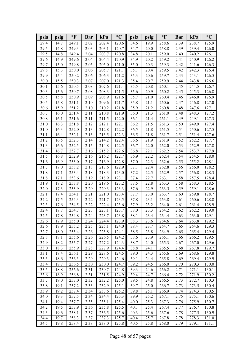| psia | psig | $\mathbf{P}$ | <b>Bar</b> | kPa   | $\rm ^{\circ}C$ | psia | psig | $\mathbf{P}$ | <b>Bar</b> | kPa   | $\rm ^{\circ}C$ |
|------|------|--------------|------------|-------|-----------------|------|------|--------------|------------|-------|-----------------|
| 29.4 | 14.7 | 249.1        | 2.02       | 202.4 | 120.6           | 34.6 | 19.9 | 258.6        | 2.39       | 238.7 | 125.9           |
| 29.5 | 14.8 | 249.3        | 2.03       | 203.1 | 120.7           | 34.7 | 20.0 | 258.8        | 2.39       | 239.4 | 126.0           |
| 29.5 | 14.8 | 249.4        | 2.04       | 203.7 | 120.8           | 34.8 | 20.1 | 259.0        | 2.40       | 240.2 | 126.1           |
| 29.6 | 14.9 | 249.6        | 2.04       | 204.4 | 120.9           | 34.9 | 20.2 | 259.2        | 2.41       | 240.9 | 126.2           |
| 29.7 | 15.0 | 249.8        | 2.05       | 205.0 | 121.0           | 35.0 | 20.3 | 259.3        | 2.42       | 241.6 | 126.3           |
| 29.8 | 15.3 | 250.0        | 2.06       | 205.7 | 121.1           | 35.1 | 20.4 | 259.5        | 2.42       | 242.3 | 126.4           |
| 29.9 | 15.4 | 250.2        | 2.06       | 206.3 | 121.2           | 35.3 | 20.6 | 259.7        | 2.43       | 243.1 | 126.5           |
| 30.0 | 15.5 | 250.3        | 2.07       | 207.0 | 121.3           | 35.4 | 20.7 | 259.9        | 2.44       | 243.8 | 126.6           |
| 30.1 | 15.6 | 250.5        | 2.08       | 207.6 | 121.4           | 35.5 | 20.8 | 260.1        | 2.45       | 244.5 | 126.7           |
| 30.3 | 15.6 | 250.7        | 2.08       | 208.3 | 121.5           | 35.6 | 20.9 | 260.2        | 2.45       | 245.3 | 126.8           |
| 30.5 | 15.8 | 250.9        | 2.09       | 208.9 | 121.6           | 35.7 | 21.0 | 260.4        | 2.46       | 246.0 | 126.9           |
| 30.5 | 15.8 | 251.1        | 2.10       | 209.6 | 121.7           | 35.8 | 21.1 | 260.6        | 2.47       | 246.8 | 127.0           |
| 30.6 | 15.9 | 251.2        | 2.10       | 210.2 | 121.8           | 35.9 | 21.2 | 260.8        | 2.48       | 247.6 | 127.1           |
| 30.7 | 16.0 | 251.4        | 2.11       | 210.8 | 121.9           | 36.0 | 21.3 | 261.0        | 2.48       | 248.3 | 127.2           |
| 30.8 | 16.1 | 251.6        | 2.11       | 211.5 | 122.0           | 36.1 | 21.4 | 261.1        | 2.49       | 249.1 | 127.3           |
| 31.0 | 16.3 | 251.8        | 2.12       | 212.1 | 122.1           | 36.2 | 21.5 | 261.3        | 2.50       | 249.9 | 127.4           |
| 31.0 | 16.3 | 252.0        | 2.13       | 212.8 | 122.2           | 36.5 | 21.8 | 261.5        | 2.51       | 250.6 | 127.5           |
| 31.1 | 16.4 | 252.1        | 2.13       | 213.5 | 122.3           | 36.5 | 21.8 | 261.7        | 2.51       | 251.4 | 127.6           |
| 31.2 | 16.5 | 252.3        | 2.14       | 214.2 | 122.4           | 36.6 | 21.9 | 261.9        | 2.52       | 252.2 | 127.7           |
| 31.3 | 16.6 | 252.5        | 2.15       | 214.8 | 122.5           | 36.7 | 22.0 | 262.0        | 2.53       | 252.9 | 127.8           |
| 31.4 | 16.7 | 252.7        | 2.16       | 215.2 | 122.6           | 36.8 | 22.1 | 262.2        | 2.54       | 253.7 | 127.9           |
| 31.5 | 16.8 | 252.9        | 2.16       | 216.2 | 122.7           | 36.9 | 22.2 | 262.4        | 2.54       | 254.5 | 128.0           |
| 31.6 | 16.9 | 253.0        | 2.17       | 216.9 | 122.8           | 37.0 | 22.3 | 262.6        | 2.55       | 255.2 | 128.1           |
| 31.7 | 17.0 | 253.2        | 2.18       | 217.6 | 122.9           | 37.1 | 22.4 | 262.8        | 2.56       | 256.0 | 128.2           |
| 31.8 | 17.1 | 253.4        | 2.18       | 218.3 | 123.0           | 37.2 | 22.5 | 262.9        | 2.57       | 256.8 | 128.3           |
| 31.8 | 17.1 | 253.6        | 2.19       | 218.9 | 123.1           | 37.4 | 22.7 | 263.1        | 2.58       | 257.5 | 128.4           |
| 31.9 | 17.2 | 253.8        | 2.20       | 219.6 | 123.2           | 37.5 | 22.8 | 263.3        | 2.58       | 258.3 | 128.5           |
| 32.0 | 17.3 | 253.9        | 2.20       | 220.3 | 123.3           | 37.6 | 22.9 | 263.5        | 2.59       | 259.1 | 128.6           |
| 32.1 | 17.4 | 254.1        | 2.21       | 221.0 | 123.4           | 37.7 | 23.0 | 263.7        | 2.60       | 259.8 | 128.7           |
| 32.2 | 17.5 | 254.3        | 2.22       | 221.7 | 123.5           | 37.8 | 23.1 | 263.8        | 2.61       | 260.6 | 128.8           |
| 32.3 | 17.6 | 254.5        | 2.22       | 222.4 | 123.6           | 37.9 | 23.2 | 264.0        | 2.61       | 261.4 | 128.9           |
| 32.4 | 17.7 | 254.7        | 2.23       | 223.1 | 123.7           | 38.0 | 23.3 | 264.2        | 2.62       | 262.2 | 129.0           |
| 32.5 | 17.8 | 254.8        | 2.24       | 223.7 | 123.8           | 38.1 | 23.4 | 264.4        | 2.63       | 263.0 | 129.1           |
| 32.6 | 17.9 | 255.0        | 2.24       | 224.4 | 123.9           | 38.3 | 23.6 | 264.6        | 2.64       | 263.8 | 129.2           |
| 32.6 | 17.9 | 255.2        | 2.25       | 225.1 | 124.0           | 38.4 | 23.7 | 264.7        | 2.65       | 264.6 | 129.3           |
| 32.7 | 18.0 | 255.4        | 2.26       | 225.8 | 124.1           | 38.5 | 23.8 | 264.9        | 2.65       | 265.4 | 129.4           |
| 32.8 | 18.1 | 255.6        | 2.26       | 226.5 | 124.2           | 38.6 | 23.9 | 265.1        | 2.66       | 266.2 | 129.5           |
| 32.9 | 18.2 | 255.7        | 2.27       | 227.2 | 124.3           | 38.7 | 24.0 | 265.3        | 2.67       | 267.0 | 129.6           |
| 33.0 | 18.3 | 255.9        | 2.28       | 227.9 | 124.4           | 38.8 | 24.1 | 265.5        | 2.68       | 267.8 | 129.7           |
| 33.1 | 18.4 | 256.1        | 2.29       | 228.6 | 124.5           | 39.0 | 24.3 | 265.6        | 2.69       | 268.6 | 129.8           |
| 33.3 | 18.6 | 256.3        | 2.29       | 229.3 | 124.6           | 39.1 | 24.4 | 265.8        | 2.69       | 269.4 | 129.9           |
| 33.4 | 18.7 | 256.5        | 2.30       | 230.0 | 124.7           | 39.2 | 24.5 | 266.0        | 2.70       | 270.3 | 130.0           |
| 33.5 | 18.8 | 256.6        | 2.31       | 230.7 | 124.8           | 39.3 | 24.6 | 266.2        | 2.71       | 271.1 | 130.1           |
| 33.6 | 18.9 | 256.8        | 2.31       | 231.5 | 124.9           | 39.4 | 24.7 | 266.4        | 2.72       | 271.9 | 130.2           |
| 33.7 | 19.0 | 257.0        | 2.32       | 232.2 | 125.0           | 39.5 | 24.8 | 266.5        | 2.73       | 272.7 | 130.3           |
| 33.8 | 19.1 | 257.2        | 2.33       | 232.9 | 125.1           | 39.7 | 25.0 | 266.7        | 2.73       | 273.5 | 130.4           |
| 33.9 | 19.2 | 257.4        | 2.34       | 233.6 | 125.2           | 39.8 | 25.1 | 266.9        | 2.74       | 274.3 | 130.5           |
| 34.0 | 19.3 | 257.5        | 2.34       | 234.4 | 125.3           | 39.9 | 25.2 | 267.1        | 2.75       | 275.1 | 130.6           |
| 34.1 | 19.4 | 257.7        | 2.35       | 235.1 | 125.4           | 40.0 | 25.3 | 267.3        | 2.76       | 275.9 | 130.7           |
| 34.2 | 19.5 | 257.9        | 2.36       | 235.8 | 125.5           | 40.1 | 25.4 | 267.4        | 2.77       | 276.7 | 130.8           |
| 34.3 | 19.6 | 258.1        | 2.37       | 236.5 | 125.6           | 40.3 | 25.6 | 267.6        | 2.78       | 277.5 | 130.9           |
| 34.4 | 19.7 | 258.3        | 2.37       | 237.3 | 125.7           | 40.4 | 25.7 | 267.8        | 2.78       | 278.3 | 131.0           |
| 34.5 | 19.8 | 258.4        | 2.38       | 238.0 | 125.8           | 40.5 | 25.8 | 268.0        | 2.79       | 279.1 | 131.1           |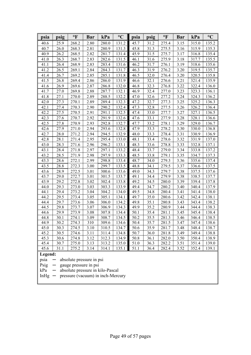| psia                                                                                                                                                                                                        | psig | $\mathbf{P}$ | Bar  | kPa   | $\rm ^{\circ}C$ | psia | psig | $\mathbf{P}$ | Bar  | kPa   | $\rm ^{\circ}C$ |
|-------------------------------------------------------------------------------------------------------------------------------------------------------------------------------------------------------------|------|--------------|------|-------|-----------------|------|------|--------------|------|-------|-----------------|
| 40.6                                                                                                                                                                                                        | 25.9 | 268.2        | 2.80 | 280.0 | 131.2           | 45.7 | 31.2 | 275.4        | 3.15 | 315.0 | 135.2           |
| 40.7                                                                                                                                                                                                        | 26.0 | 268.3        | 2.81 | 280.9 | 131.3           | 45.8 | 31.3 | 275.5        | 3.16 | 315.9 | 135.3           |
| 40.9                                                                                                                                                                                                        | 26.2 | 268.5        | 2.82 | 281.7 | 131.4           | 45.9 | 31.5 | 275.7        | 3.17 | 316.8 | 135.4           |
| 41.0                                                                                                                                                                                                        | 26.3 | 268.7        | 2.83 | 282.6 | 131.5           | 46.1 | 31.6 | 275.9        | 3.18 | 317.7 | 135.5           |
| 41.1                                                                                                                                                                                                        | 26.4 | 268.9        | 2.83 | 283.4 | 131.6           | 46.2 | 31.7 | 276.1        | 3.19 | 318.6 | 135.6           |
| 41.2                                                                                                                                                                                                        | 26.5 | 269.1        | 2.84 | 284.3 | 131.7           | 46.3 | 31.9 | 276.2        | 3.20 | 319.5 | 135.7           |
| 41.4                                                                                                                                                                                                        | 26.7 | 269.2        | 2.85 | 285.1 | 131.8           | 46.5 | 32.0 | 276.4        | 3.20 | 320.5 | 135.8           |
| 41.5                                                                                                                                                                                                        | 26.8 | 269.4        | 2.86 | 286.0 | 131.9           | 46.6 | 32.1 | 276.6        | 3.21 | 321.4 | 135.9           |
| 41.6                                                                                                                                                                                                        | 26.9 | 269.6        | 2.87 | 286.8 | 132.0           | 46.8 | 32.3 | 276.8        | 3.22 | 322.4 | 136.0           |
| 41.7                                                                                                                                                                                                        | 27.0 | 269.8        | 2.88 | 287.7 | 132.1           | 46.9 | 32.4 | 277.0        | 3.23 | 323.3 | 136.1           |
| 41.8                                                                                                                                                                                                        | 27.1 | 270.0        | 2.89 | 288.5 | 132.2           | 47.0 | 32.6 | 277.2        | 3.24 | 324.3 | 136.2           |
| 42.0                                                                                                                                                                                                        | 27.3 | 270.1        | 2.89 | 289.4 | 132.3           | 47.2 | 32.7 | 277.3        | 3.25 | 325.2 | 136.3           |
| 42.1                                                                                                                                                                                                        | 27.4 | 270.3        | 2.90 | 290.2 | 132.4           | 47.3 | 32.8 | 277.5        | 3.26 | 326.2 | 136.4           |
| 42.2                                                                                                                                                                                                        | 27.5 | 270.5        | 2.91 | 291.1 | 132.5           | 47.4 | 33.0 | 277.7        | 3.27 | 327.1 | 136.5           |
| 42.3                                                                                                                                                                                                        | 27.6 | 270.7        | 2.92 | 291.9 | 132.6           | 47.6 | 33.1 | 277.9        | 3.28 | 328.1 | 136.6           |
| 42.5                                                                                                                                                                                                        | 27.8 | 270.9        | 2.93 | 292.8 | 132.7           | 47.7 | 33.2 | 278.1        | 3.29 | 329.0 | 136.7           |
| 42.6                                                                                                                                                                                                        | 27.9 | 271.0        | 2.94 | 293.6 | 132.8           | 47.9 | 33.3 | 278.2        | 3.30 | 330.0 | 136.8           |
| 42.7                                                                                                                                                                                                        | 28.0 | 271.2        | 2.94 | 294.5 | 132.9           | 48.0 | 33.3 | 278.4        | 3.31 | 330.9 | 136.9           |
| 42.8                                                                                                                                                                                                        | 28.1 | 271.4        | 2.95 | 295.4 | 133.0           | 48.1 | 33.4 | 278.6        | 3.32 | 331.9 | 137.0           |
| 43.0                                                                                                                                                                                                        | 28.3 | 271.6        | 2.96 | 296.2 | 133.1           | 48.3 | 33.6 | 278.8        | 3.33 | 332.8 | 137.1           |
| 43.1                                                                                                                                                                                                        | 28.4 | 271.8        | 2.97 | 297.1 | 133.2           | 48.4 | 33.7 | 279.0        | 3.34 | 333.8 | 137.2           |
| 43.2                                                                                                                                                                                                        | 28.5 | 271.9        | 2.98 | 297.9 | 133.3           | 48.5 | 33.8 | 279.1        | 3.35 | 334.7 | 137.3           |
| 43.3                                                                                                                                                                                                        | 28.6 | 272.1        | 2.99 | 298.8 | 133.4           | 48.7 | 34.0 | 279.3        | 3.36 | 335.6 | 137.4           |
| 43.5                                                                                                                                                                                                        | 28.8 | 272.3        | 3.00 | 299.7 | 133.5           | 48.8 | 34.1 | 279.5        | 3.37 | 336.6 | 137.5           |
| 43.6                                                                                                                                                                                                        | 28.9 | 272.5        | 3.01 | 300.6 | 133.6           | 49.0 | 34.3 | 279.7        | 3.38 | 337.5 | 137.6           |
| 43.7                                                                                                                                                                                                        | 29.0 | 272.7        | 3.01 | 301.5 | 133.7           | 49.1 | 34.4 | 279.9        | 3.38 | 338.5 | 137.7           |
| 43.9                                                                                                                                                                                                        | 29.2 | 272.8        | 3.02 | 302.4 | 133.8           | 49.2 | 34.5 | 280.0        | 3.39 | 339.4 | 137.8           |
| 44.0                                                                                                                                                                                                        | 29.3 | 273.0        | 3.03 | 303.3 | 133.9           | 49.4 | 34.7 | 280.2        | 3.40 | 340.4 | 137.9           |
| 44.1                                                                                                                                                                                                        | 29.4 | 273.2        | 3.04 | 304.2 | 134.0           | 49.5 | 34.8 | 280.4        | 3.41 | 341.4 | 138.0           |
| 44.2                                                                                                                                                                                                        | 29.5 | 273.4        | 3.05 | 305.1 | 134.1           | 49.7 | 35.0 | 280.6        | 3.42 | 342.4 | 138.1           |
| 44.4                                                                                                                                                                                                        | 29.7 | 273.6        | 3.06 | 306.0 | 134.2           | 49.8 | 35.1 | 280.8        | 3.43 | 343.4 | 138.2           |
| 44.5                                                                                                                                                                                                        | 29.8 | 273.7        | 3.07 | 306.9 | 134.3           | 49.9 | 35.2 | 280.9        | 3.44 | 344.4 | 138.3           |
| 44.6                                                                                                                                                                                                        | 29.9 | 273.9        | 3.08 | 307.8 | 134.4           | 50.1 | 35.4 | 281.1        | 3.45 | 345.4 | 138.4           |
| 44.8                                                                                                                                                                                                        | 30.1 | 274.1        | 3.09 | 308.7 | 134.5           | 50.2 | 35.5 | 281.3        | 3.46 | 346.4 | 138.5           |
| 44.9                                                                                                                                                                                                        | 30.2 | 274.3        | 310  | 309.6 | 134.6           | 50.4 | 35.7 | 281.5        | 3.47 | 347.4 | 138.6           |
| 45.0                                                                                                                                                                                                        | 30.3 | 274.5        | 3.10 | 310.5 | 134.7           | 50.6 | 35.9 | 281.7        | 3.48 | 348.4 | 138.7           |
| 45.2                                                                                                                                                                                                        | 30.5 | 274.6        | 3.11 | 311.4 | 134.8           | 50.7 | 36.0 | 281.8        | 3.49 | 349.4 | 138.8           |
| 45.3                                                                                                                                                                                                        | 30.6 | 274.8        | 3.12 | 312.3 | 134.9           | 50.8 | 36.1 | 282.0        | 3.50 | 350.4 | 138.9           |
| 45.4                                                                                                                                                                                                        | 30.7 | 275.0        | 3.13 | 313.2 | 135.0           | 51.0 | 36.3 | 282.2        | 3.51 | 351.4 | 139.0           |
| 45.6                                                                                                                                                                                                        | 31.1 | 275.2        | 3.14 | 314.1 | 135.1           | 51.1 | 36.4 | 282.4        | 3.52 | 352.4 | 139.1           |
| Legend:<br>psia<br>absolute pressure in psi<br>Psig<br>gauge pressure in psi<br>absolute pressure in kilo-Pascal<br>kPa<br>$\qquad \qquad \longleftarrow$<br>pressure (vacuum) in inch-Mercury<br>In $Hg -$ |      |              |      |       |                 |      |      |              |      |       |                 |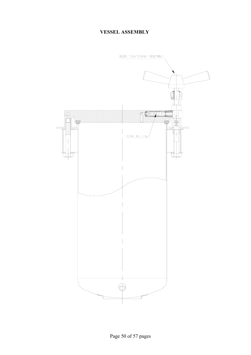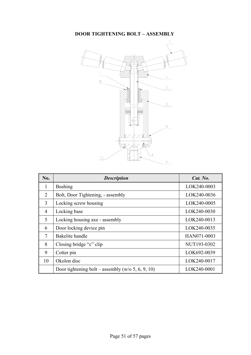#### **DOOR TIGHTENING BOLT – ASSEMBLY**



| No.          | <b>Description</b>                                | Cat. No.    |
|--------------|---------------------------------------------------|-------------|
| $\mathbf{1}$ | <b>Bushing</b>                                    | LOK240-0003 |
| 2            | Bolt, Door Tightening, - assembly                 | LOK240-0036 |
| 3            | Locking screw housing                             | LOK240-0005 |
| 4            | Locking base                                      | LOK240-0030 |
| 5            | Locking housing axe - assembly                    | LOK240-0013 |
| 6            | Door locking device pin                           | LOK240-0035 |
| 7            | Bakelite handle                                   | HAN071-0003 |
| 8            | Closing bridge "c" clip                           | NUT193-0302 |
| 9            | Cotter pin                                        | LOK692-0039 |
| 10           | Okolon disc                                       | LOK240-0017 |
|              | Door tightening bolt – assembly (w/o 5, 6, 9, 10) | LOK240-0001 |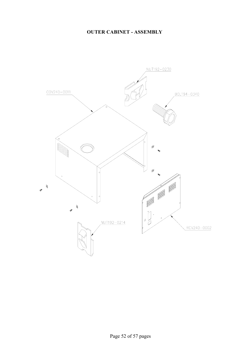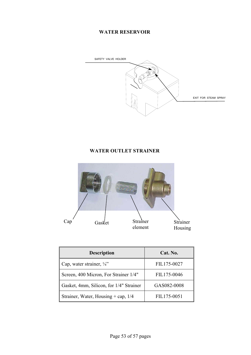#### **WATER RESERVOIR**



### **WATER OUTLET STRAINER**



| <b>Description</b>                      | Cat. No.    |
|-----------------------------------------|-------------|
| Cap, water strainer, $\frac{1}{4}$ "    | FIL175-0027 |
| Screen, 400 Micron, For Strainer 1/4"   | FIL175-0046 |
| Gasket, 4mm, Silicon, for 1/4" Strainer | GAS082-0008 |
| Strainer, Water, Housing + cap, $1/4$   | FIL175-0051 |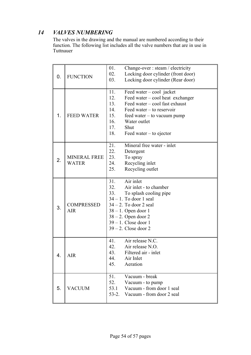# *14 VALVES NUMBERING*

 The valves in the drawing and the manual are numbered according to their function. The following list includes all the valve numbers that are in use in Tuttnauer

| 0. | <b>FUNCTION</b>                     | 01.<br>02.<br>03.                                    | Change-over : steam / electricity<br>Locking door cylinder (front door)<br>Locking door cylinder (Rear door)                                                                                                                                    |
|----|-------------------------------------|------------------------------------------------------|-------------------------------------------------------------------------------------------------------------------------------------------------------------------------------------------------------------------------------------------------|
| 1. | <b>FEED WATER</b>                   | 11.<br>12.<br>13.<br>14.<br>15.<br>16.<br>17.<br>18. | Feed water $-\text{cool}$ jacket<br>Feed water – cool heat exchanger<br>Feed water – cool fast exhaust<br>Feed water $-$ to reservoir<br>$feed$ water $-$ to vacuum pump<br>Water outlet<br>Shut<br>Feed water $-$ to ejector                   |
| 2. | <b>MINERAL FREE</b><br><b>WATER</b> | 21.<br>22.<br>23.<br>24.<br>25.                      | Mineral free water - inlet<br>Detergent<br>To spray<br>Recycling inlet<br>Recycling outlet                                                                                                                                                      |
| 3. | <b>COMPRESSED</b><br><b>AIR</b>     | 31.<br>32.<br>33.                                    | $\overline{A}$ ir inlet<br>Air inlet - to chamber<br>To splash cooling pipe<br>$34 - 1$ . To door 1 seal<br>$34 - 2$ . To door 2 seal<br>$38 - 1$ . Open door 1<br>$38 - 2$ . Open door 2<br>$39 - 1$ . Close door 1<br>$39 - 2$ . Close door 2 |
| 4. | AIR                                 | 41.<br>42.<br>43.<br>44.<br>45.                      | Air release N.C.<br>Air release N.O.<br>Filtered air - inlet<br>Air Inlet<br>Aeration                                                                                                                                                           |
| 5. | <b>VACUUM</b>                       | 51.<br>52.<br>53.1<br>$53-2.$                        | Vacuum - break<br>Vacuum - to pump<br>Vacuum - from door 1 seal<br>Vacuum - from door 2 seal                                                                                                                                                    |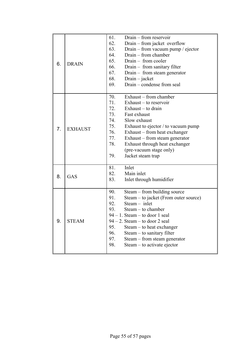| 6. | <b>DRAIN</b>   | 61.<br>62.<br>63.<br>64.<br>65.<br>66.<br>67.<br>68.<br>69.        | Drain – from reservoir<br>Drain – from jacket overflow<br>Drain – from vacuum pump / ejector<br>Drain – from chamber<br>Drain - from cooler<br>Drain – from sanitary filter<br>Drain $-$ from steam generator<br>$Drain - jacket$<br>Drain – condense from seal                                                   |
|----|----------------|--------------------------------------------------------------------|-------------------------------------------------------------------------------------------------------------------------------------------------------------------------------------------------------------------------------------------------------------------------------------------------------------------|
| 7. | <b>EXHAUST</b> | 70.<br>71.<br>72.<br>73.<br>74.<br>75.<br>76.<br>77.<br>78.<br>79. | Exhaust – from chamber<br>Exhaust $-$ to reservoir<br>Exhaust $-$ to drain<br>Fast exhaust<br>Slow exhaust<br>Exhaust to ejector / to vacuum pump<br>Exhaust – from heat exchanger<br>Exhaust – from steam generator<br>Exhaust through heat exchanger<br>(pre-vacuum stage only)<br>Jacket steam trap            |
| 8. | GAS            | 81.<br>82.<br>83.                                                  | Inlet<br>Main inlet<br>Inlet through humidifier                                                                                                                                                                                                                                                                   |
| 9. | <b>STEAM</b>   | 90.<br>91.<br>92.<br>93.<br>95.<br>96.<br>97.<br>98.               | Steam – from building source<br>Steam – to jacket (From outer source)<br>$Steam - inlet$<br>$Steam - to chamber$<br>$94 - 1$ . Steam – to door 1 seal<br>94 – 2. Steam – to door 2 seal<br>Steam – to heat exchanger<br>Steam – to sanitary filter<br>Steam - from steam generator<br>Steam – to activate ejector |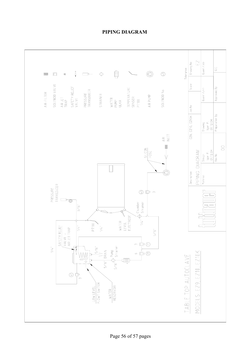

#### **PIPING DIAGRAM**

Page 56 of 57 pages